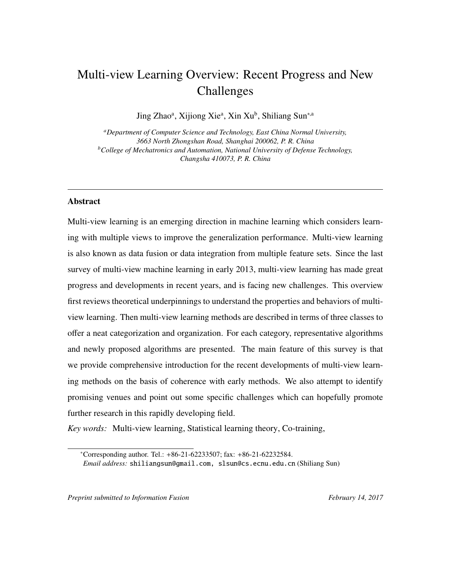# <span id="page-0-0"></span>Multi-view Learning Overview: Recent Progress and New Challenges

Jing Zhao<sup>a</sup>, Xijiong Xie<sup>a</sup>, Xin Xu<sup>b</sup>, Shiliang Sun<sup>\*,a</sup>

*<sup>a</sup>Department of Computer Science and Technology, East China Normal University, 3663 North Zhongshan Road, Shanghai 200062, P. R. China <sup>b</sup>College of Mechatronics and Automation, National University of Defense Technology, Changsha 410073, P. R. China*

# Abstract

Multi-view learning is an emerging direction in machine learning which considers learning with multiple views to improve the generalization performance. Multi-view learning is also known as data fusion or data integration from multiple feature sets. Since the last survey of multi-view machine learning in early 2013, multi-view learning has made great progress and developments in recent years, and is facing new challenges. This overview first reviews theoretical underpinnings to understand the properties and behaviors of multiview learning. Then multi-view learning methods are described in terms of three classes to offer a neat categorization and organization. For each category, representative algorithms and newly proposed algorithms are presented. The main feature of this survey is that we provide comprehensive introduction for the recent developments of multi-view learning methods on the basis of coherence with early methods. We also attempt to identify promising venues and point out some specific challenges which can hopefully promote further research in this rapidly developing field.

*Key words:* Multi-view learning, Statistical learning theory, Co-training,

*Preprint submitted to Information Fusion* February 14, 2017

<sup>\*</sup>Corresponding author. Tel.:  $+86-21-62233507$ ; fax:  $+86-21-62232584$ .

*Email address:* shiliangsun@gmail.com, slsun@cs.ecnu.edu.cn (Shiliang Sun)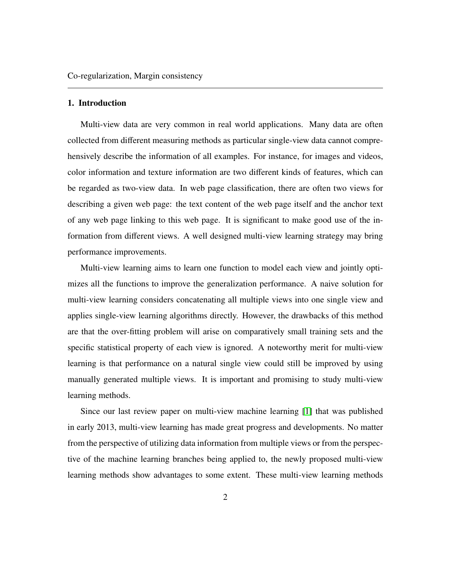## 1. Introduction

Multi-view data are very common in real world applications. Many data are often collected from different measuring methods as particular single-view data cannot comprehensively describe the information of all examples. For instance, for images and videos, color information and texture information are two different kinds of features, which can be regarded as two-view data. In web page classification, there are often two views for describing a given web page: the text content of the web page itself and the anchor text of any web page linking to this web page. It is significant to make good use of the information from different views. A well designed multi-view learning strategy may bring performance improvements.

Multi-view learning aims to learn one function to model each view and jointly optimizes all the functions to improve the generalization performance. A naive solution for multi-view learning considers concatenating all multiple views into one single view and applies single-view learning algorithms directly. However, the drawbacks of this method are that the over-fitting problem will arise on comparatively small training sets and the specific statistical property of each view is ignored. A noteworthy merit for multi-view learning is that performance on a natural single view could still be improved by using manually generated multiple views. It is important and promising to study multi-view learning methods.

Since our last review paper on multi-view machine learning [\[1\]](#page-34-0) that was published in early 2013, multi-view learning has made great progress and developments. No matter from the perspective of utilizing data information from multiple views or from the perspective of the machine learning branches being applied to, the newly proposed multi-view learning methods show advantages to some extent. These multi-view learning methods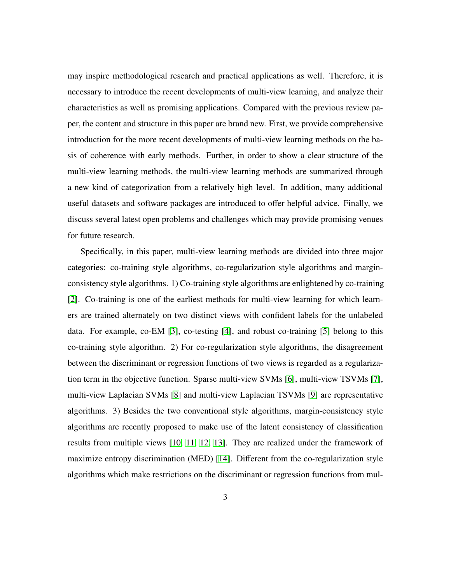may inspire methodological research and practical applications as well. Therefore, it is necessary to introduce the recent developments of multi-view learning, and analyze their characteristics as well as promising applications. Compared with the previous review paper, the content and structure in this paper are brand new. First, we provide comprehensive introduction for the more recent developments of multi-view learning methods on the basis of coherence with early methods. Further, in order to show a clear structure of the multi-view learning methods, the multi-view learning methods are summarized through a new kind of categorization from a relatively high level. In addition, many additional useful datasets and software packages are introduced to offer helpful advice. Finally, we discuss several latest open problems and challenges which may provide promising venues for future research.

Specifically, in this paper, multi-view learning methods are divided into three major categories: co-training style algorithms, co-regularization style algorithms and marginconsistency style algorithms. 1) Co-training style algorithms are enlightened by co-training [\[2\]](#page-35-0). Co-training is one of the earliest methods for multi-view learning for which learners are trained alternately on two distinct views with confident labels for the unlabeled data. For example, co-EM [\[3\]](#page-35-1), co-testing [\[4\]](#page-35-2), and robust co-training [\[5\]](#page-35-3) belong to this co-training style algorithm. 2) For co-regularization style algorithms, the disagreement between the discriminant or regression functions of two views is regarded as a regularization term in the objective function. Sparse multi-view SVMs [\[6\]](#page-35-4), multi-view TSVMs [\[7\]](#page-35-5), multi-view Laplacian SVMs [\[8\]](#page-35-6) and multi-view Laplacian TSVMs [\[9\]](#page-35-7) are representative algorithms. 3) Besides the two conventional style algorithms, margin-consistency style algorithms are recently proposed to make use of the latent consistency of classification results from multiple views [\[10,](#page-35-8) [11,](#page-36-0) [12,](#page-36-1) [13\]](#page-36-2). They are realized under the framework of maximize entropy discrimination (MED) [\[14\]](#page-36-3). Different from the co-regularization style algorithms which make restrictions on the discriminant or regression functions from mul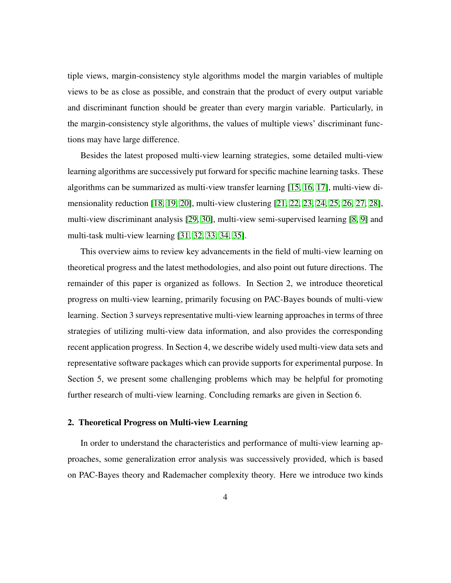tiple views, margin-consistency style algorithms model the margin variables of multiple views to be as close as possible, and constrain that the product of every output variable and discriminant function should be greater than every margin variable. Particularly, in the margin-consistency style algorithms, the values of multiple views' discriminant functions may have large difference.

Besides the latest proposed multi-view learning strategies, some detailed multi-view learning algorithms are successively put forward for specific machine learning tasks. These algorithms can be summarized as multi-view transfer learning [\[15,](#page-36-4) [16,](#page-36-5) [17\]](#page-36-6), multi-view dimensionality reduction [\[18,](#page-36-7) [19,](#page-36-8) [20\]](#page-37-0), multi-view clustering [\[21,](#page-37-1) [22,](#page-37-2) [23,](#page-37-3) [24,](#page-37-4) [25,](#page-37-5) [26,](#page-37-6) [27,](#page-37-7) [28\]](#page-38-0), multi-view discriminant analysis [\[29,](#page-38-1) [30\]](#page-38-2), multi-view semi-supervised learning [\[8,](#page-35-6) [9\]](#page-35-7) and multi-task multi-view learning [\[31,](#page-38-3) [32,](#page-38-4) [33,](#page-38-5) [34,](#page-38-6) [35\]](#page-38-7).

This overview aims to review key advancements in the field of multi-view learning on theoretical progress and the latest methodologies, and also point out future directions. The remainder of this paper is organized as follows. In Section 2, we introduce theoretical progress on multi-view learning, primarily focusing on PAC-Bayes bounds of multi-view learning. Section 3 surveys representative multi-view learning approaches in terms of three strategies of utilizing multi-view data information, and also provides the corresponding recent application progress. In Section 4, we describe widely used multi-view data sets and representative software packages which can provide supports for experimental purpose. In Section 5, we present some challenging problems which may be helpful for promoting further research of multi-view learning. Concluding remarks are given in Section 6.

# 2. Theoretical Progress on Multi-view Learning

In order to understand the characteristics and performance of multi-view learning approaches, some generalization error analysis was successively provided, which is based on PAC-Bayes theory and Rademacher complexity theory. Here we introduce two kinds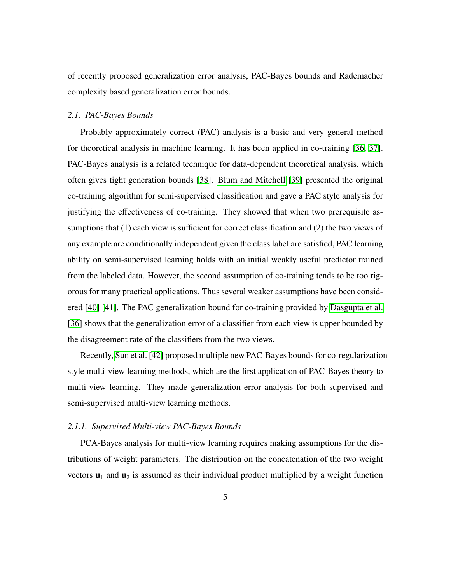of recently proposed generalization error analysis, PAC-Bayes bounds and Rademacher complexity based generalization error bounds.

#### *2.1. PAC-Bayes Bounds*

Probably approximately correct (PAC) analysis is a basic and very general method for theoretical analysis in machine learning. It has been applied in co-training [\[36,](#page-39-0) [37\]](#page-39-1). PAC-Bayes analysis is a related technique for data-dependent theoretical analysis, which often gives tight generation bounds [\[38\]](#page-39-2). [Blum and Mitchell](#page-39-3) [\[39\]](#page-39-3) presented the original co-training algorithm for semi-supervised classification and gave a PAC style analysis for justifying the effectiveness of co-training. They showed that when two prerequisite assumptions that (1) each view is sufficient for correct classification and (2) the two views of any example are conditionally independent given the class label are satisfied, PAC learning ability on semi-supervised learning holds with an initial weakly useful predictor trained from the labeled data. However, the second assumption of co-training tends to be too rigorous for many practical applications. Thus several weaker assumptions have been considered [\[40\]](#page-39-4) [\[41\]](#page-39-5). The PAC generalization bound for co-training provided by [Dasgupta et al.](#page-39-0) [\[36\]](#page-39-0) shows that the generalization error of a classifier from each view is upper bounded by the disagreement rate of the classifiers from the two views.

Recently, [Sun et al.](#page-39-6) [\[42\]](#page-39-6) proposed multiple new PAC-Bayes bounds for co-regularization style multi-view learning methods, which are the first application of PAC-Bayes theory to multi-view learning. They made generalization error analysis for both supervised and semi-supervised multi-view learning methods.

# *2.1.1. Supervised Multi-view PAC-Bayes Bounds*

PCA-Bayes analysis for multi-view learning requires making assumptions for the distributions of weight parameters. The distribution on the concatenation of the two weight vectors  $\mathbf{u}_1$  and  $\mathbf{u}_2$  is assumed as their individual product multiplied by a weight function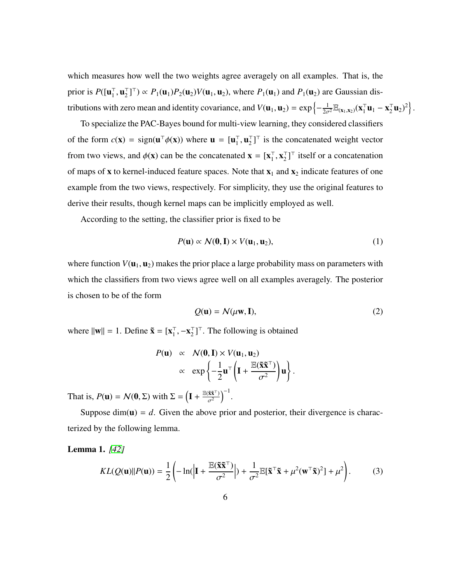which measures how well the two weights agree averagely on all examples. That is, the prior is  $P([\mathbf{u}_1^{\top}$  $\overline{1}$ ,  $\mathbf{u}_2^{\top}$  $\mathbb{Z}_2^{\top}$ ]<sup>T</sup>)  $\propto P_1(\mathbf{u}_1)P_2(\mathbf{u}_2)V(\mathbf{u}_1, \mathbf{u}_2)$ , where  $P_1(\mathbf{u}_1)$  and  $P_1(\mathbf{u}_2)$  are Gaussian distributions with zero mean and identity covariance, and  $V(\mathbf{u}_1, \mathbf{u}_2) = \exp\left\{-\frac{1}{2\sigma^2} \mathbb{E}_{(\mathbf{x}_1, \mathbf{x}_2)}(\mathbf{x}_1^{\mathsf{T}})\right\}$  $_{1}^{\top}$ **u**<sub>1</sub> – **x**<sub>2</sub><sup> $\top$ </sup>  $\left[ \frac{1}{2} \mathbf{u}_2^2 \right]^2$ 

To specialize the PAC-Bayes bound for multi-view learning, they considered classifiers of the form  $c(\mathbf{x}) = \text{sign}(\mathbf{u}^\top \phi(\mathbf{x}))$  where  $\mathbf{u} = [\mathbf{u}_1^\top]$  $_1^{\top}$ ,  $\mathbf{u}_2^{\top}$  $\binom{1}{2}$  is the concatenated weight vector from two views, and  $\phi(\mathbf{x})$  can be the concatenated  $\mathbf{x} = [\mathbf{x}_1^{\top}]$  $\frac{1}{1}$ ,  $\mathbf{x}_2^{\top}$  $\binom{1}{2}^{\top}$  itself or a concatenation of maps of **x** to kernel-induced feature spaces. Note that  $x_1$  and  $x_2$  indicate features of one example from the two views, respectively. For simplicity, they use the original features to derive their results, though kernel maps can be implicitly employed as well.

According to the setting, the classifier prior is fixed to be

<span id="page-5-0"></span>
$$
P(\mathbf{u}) \propto \mathcal{N}(\mathbf{0}, \mathbf{I}) \times V(\mathbf{u}_1, \mathbf{u}_2), \tag{1}
$$

where function  $V(\mathbf{u}_1, \mathbf{u}_2)$  makes the prior place a large probability mass on parameters with which the classifiers from two views agree well on all examples averagely. The posterior is chosen to be of the form

<span id="page-5-1"></span>
$$
Q(\mathbf{u}) = \mathcal{N}(\mu \mathbf{w}, \mathbf{I}),\tag{2}
$$

where  $\|\mathbf{w}\| = 1$ . Define  $\tilde{\mathbf{x}} = [\mathbf{x}_1^{\top}]$  $_1^{\top}, -\mathbf{X}_2^{\top}$  $\binom{1}{2}^{\top}$ . The following is obtained

$$
P(\mathbf{u}) \propto \mathcal{N}(\mathbf{0}, \mathbf{I}) \times V(\mathbf{u}_1, \mathbf{u}_2)
$$
  
 
$$
\propto \exp\left\{-\frac{1}{2}\mathbf{u}^\top \left(\mathbf{I} + \frac{\mathbb{E}(\tilde{\mathbf{x}}\tilde{\mathbf{x}}^\top)}{\sigma^2}\right)\mathbf{u}\right\}.
$$

That is,  $P(\mathbf{u}) = \mathcal{N}(\mathbf{0}, \Sigma)$  with  $\Sigma = \left(\mathbf{I} + \frac{\mathbb{E}(\tilde{\mathbf{x}}^T)^T}{\sigma^2}\right)$  $\sigma^2$  $\big)^{-1}$ .

Suppose  $\dim(u) = d$ . Given the above prior and posterior, their divergence is characterized by the following lemma.

Lemma 1. *[\[42\]](#page-39-6)*

$$
KL(Q(\mathbf{u})||P(\mathbf{u})) = \frac{1}{2} \left( -\ln\left( \left| \mathbf{I} + \frac{\mathbb{E}(\tilde{\mathbf{x}}\tilde{\mathbf{x}}^{\top})}{\sigma^2} \right| \right) + \frac{1}{\sigma^2} \mathbb{E}[\tilde{\mathbf{x}}^{\top}\tilde{\mathbf{x}} + \mu^2(\mathbf{w}^{\top}\tilde{\mathbf{x}})^2] + \mu^2 \right). \tag{3}
$$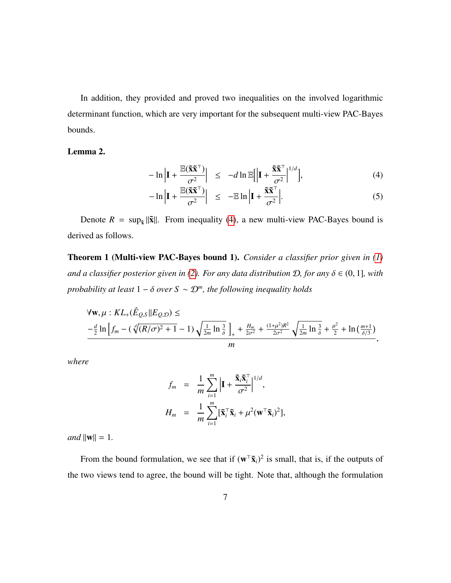In addition, they provided and proved two inequalities on the involved logarithmic determinant function, which are very important for the subsequent multi-view PAC-Bayes bounds.

# Lemma 2.

$$
-\ln\left|\mathbf{I} + \frac{\mathbb{E}(\tilde{\mathbf{x}}\tilde{\mathbf{x}}^{\top})}{\sigma^2}\right| \le -d\ln\mathbb{E}\Big[\Big|\mathbf{I} + \frac{\tilde{\mathbf{x}}\tilde{\mathbf{x}}^{\top}}{\sigma^2}\Big|^{1/d}\Big],\tag{4}
$$

<span id="page-6-0"></span>
$$
-\ln\left|\mathbf{I}+\frac{\mathbb{E}(\tilde{\mathbf{x}}\tilde{\mathbf{x}}^{\top})}{\sigma^2}\right| \leq -\mathbb{E}\ln\left|\mathbf{I}+\frac{\tilde{\mathbf{x}}\tilde{\mathbf{x}}^{\top}}{\sigma^2}\right|.
$$
 (5)

Denote  $R = \sup_{\tilde{x}} ||\tilde{x}||$ . From inequality [\(4\)](#page-6-0), a new multi-view PAC-Bayes bound is derived as follows.

Theorem 1 (Multi-view PAC-Bayes bound 1). *Consider a classifier prior given in [\(1\)](#page-5-0) and a classifier posterior given in [\(2\)](#page-5-1). For any data distribution*  $D$ *, for any*  $\delta \in (0, 1]$ *, with probability at least* <sup>1</sup> <sup>−</sup> δ *over S* ∼ D*<sup>m</sup> , the following inequality holds*

$$
\begin{aligned} &\forall \mathbf{w}, \mu: KL_{+}(\hat{E}_{Q,S}||E_{Q,D}) \leq \\ &\quad -\tfrac{d}{2}\ln\left[f_{m}-(\sqrt[d]{(R/\sigma)^{2}+1}-1)\sqrt{\tfrac{1}{2m}\ln\tfrac{3}{\delta}}\right]_{+}+\tfrac{H_{m}}{2\sigma^{2}}+\tfrac{(1+\mu^{2})R^{2}}{2\sigma^{2}}\sqrt{\tfrac{1}{2m}\ln\tfrac{3}{\delta}}+\tfrac{\mu^{2}}{2}+\ln\tfrac{(m+1}{\delta/3})}{m}, \end{aligned}
$$

*where*

$$
f_m = \frac{1}{m} \sum_{i=1}^m \left| \mathbf{I} + \frac{\tilde{\mathbf{x}}_i \tilde{\mathbf{x}}_i^\top}{\sigma^2} \right|^{1/d},
$$
  

$$
H_m = \frac{1}{m} \sum_{i=1}^m [\tilde{\mathbf{x}}_i^\top \tilde{\mathbf{x}}_i + \mu^2 (\mathbf{w}^\top \tilde{\mathbf{x}}_i)^2],
$$

*and*  $||\mathbf{w}|| = 1$ *.* 

From the bound formulation, we see that if  $(w^T \tilde{x}_i)^2$  is small, that is, if the outputs of the two views tend to agree, the bound will be tight. Note that, although the formulation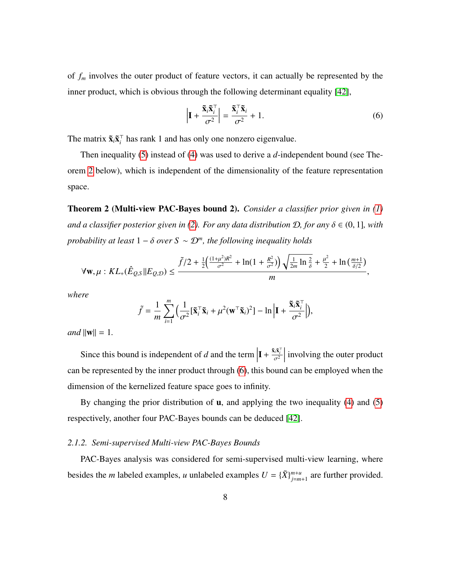of *f<sup>m</sup>* involves the outer product of feature vectors, it can actually be represented by the inner product, which is obvious through the following determinant equality [\[42\]](#page-39-6),

<span id="page-7-1"></span>
$$
\left| \mathbf{I} + \frac{\tilde{\mathbf{x}}_i \tilde{\mathbf{x}}_i^{\top}}{\sigma^2} \right| = \frac{\tilde{\mathbf{x}}_i^{\top} \tilde{\mathbf{x}}_i}{\sigma^2} + 1.
$$
 (6)

The matrix  $\tilde{\mathbf{x}}_i \tilde{\mathbf{x}}_i^\top$  $\bar{i}$  has rank 1 and has only one nonzero eigenvalue.

Then inequality [\(5\)](#page-6-0) instead of [\(4\)](#page-6-0) was used to derive a *d*-independent bound (see Theorem [2](#page-7-0) below), which is independent of the dimensionality of the feature representation space.

<span id="page-7-0"></span>Theorem 2 (Multi-view PAC-Bayes bound 2). *Consider a classifier prior given in [\(1\)](#page-5-0) and a classifier posterior given in [\(2\)](#page-5-1). For any data distribution*  $D$ *, for any*  $\delta \in (0, 1]$ *, with probability at least* <sup>1</sup> <sup>−</sup> δ *over S* ∼ D*<sup>m</sup> , the following inequality holds*

$$
\forall \mathbf{w}, \mu : KL_{+}(\hat{E}_{Q,S}||E_{Q,D}) \leq \frac{\tilde{f}/2 + \frac{1}{2} \left( \frac{(1+\mu^{2})R^{2}}{\sigma^{2}} + \ln(1+\frac{R^{2}}{\sigma^{2}}) \right) \sqrt{\frac{1}{2m} \ln \frac{2}{\delta}} + \frac{\mu^{2}}{2} + \ln\left(\frac{m+1}{\delta/2}\right)}{m},
$$

*where*

$$
\tilde{f} = \frac{1}{m} \sum_{i=1}^{m} \Big( \frac{1}{\sigma^2} [\tilde{\mathbf{x}}_i^{\top} \tilde{\mathbf{x}}_i + \mu^2 (\mathbf{w}^{\top} \tilde{\mathbf{x}}_i)^2] - \ln \Big| \mathbf{I} + \frac{\tilde{\mathbf{x}}_i \tilde{\mathbf{x}}_i^{\top}}{\sigma^2} \Big| \Big),
$$

*and*  $\|\mathbf{w}\| = 1$ .

Since this bound is independent of  $d$  and the term  $\mathbf{I} + \frac{\tilde{\mathbf{x}}_i \tilde{\mathbf{x}}_i^\top}{\sigma^2}$  $\begin{array}{c} \hline \end{array}$ involving the outer product can be represented by the inner product through [\(6\)](#page-7-1), this bound can be employed when the dimension of the kernelized feature space goes to infinity.

By changing the prior distribution of  $\bf{u}$ , and applying the two inequality [\(4\)](#page-6-0) and [\(5\)](#page-6-0) respectively, another four PAC-Bayes bounds can be deduced [\[42\]](#page-39-6).

#### *2.1.2. Semi-supervised Multi-view PAC-Bayes Bounds*

PAC-Bayes analysis was considered for semi-supervised multi-view learning, where besides the *m* labeled examples, *u* unlabeled examples  $U = {\tilde{X}}_{i=m}^{m+u}$  $\int_{i=m+1}^{m+u}$  are further provided.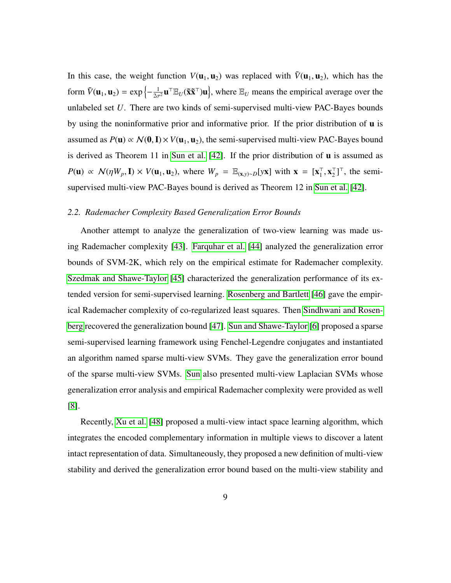In this case, the weight function  $V(\mathbf{u}_1, \mathbf{u}_2)$  was replaced with  $\tilde{V}(\mathbf{u}_1, \mathbf{u}_2)$ , which has the form  $\tilde{V}(\mathbf{u}_1, \mathbf{u}_2) = \exp\left\{-\frac{1}{2\sigma^2} \mathbf{u}^\top \mathbb{E}_U(\tilde{\mathbf{x}} \tilde{\mathbf{x}}^\top) \mathbf{u}\right\}$ , where  $\mathbb{E}_U$  means the empirical average over the unlabeled set *U*. There are two kinds of semi-supervised multi-view PAC-Bayes bounds by using the noninformative prior and informative prior. If the prior distribution of u is assumed as  $P(\mathbf{u}) \propto \mathcal{N}(\mathbf{0}, \mathbf{I}) \times V(\mathbf{u}_1, \mathbf{u}_2)$ , the semi-supervised multi-view PAC-Bayes bound is derived as Theorem 11 in [Sun et al.](#page-39-6) [\[42\]](#page-39-6). If the prior distribution of u is assumed as  $P(\mathbf{u}) \propto \mathcal{N}(\eta W_p, \mathbf{I}) \times V(\mathbf{u}_1, \mathbf{u}_2)$ , where  $W_p = \mathbb{E}_{(\mathbf{x}, y) \sim D}[\mathbf{y} \mathbf{x}]$  with  $\mathbf{x} = [\mathbf{x}_1^{\top}]$  $_1^{\top}, \mathbf{x}_2^{\top}$  $_{2}^{\top}$ ]<sup> $\top$ </sup>, the semisupervised multi-view PAC-Bayes bound is derived as Theorem 12 in [Sun et al.](#page-39-6) [\[42\]](#page-39-6).

## *2.2. Rademacher Complexity Based Generalization Error Bounds*

Another attempt to analyze the generalization of two-view learning was made using Rademacher complexity [\[43\]](#page-39-7). [Farquhar et al.](#page-39-8) [\[44\]](#page-39-8) analyzed the generalization error bounds of SVM-2K, which rely on the empirical estimate for Rademacher complexity. [Szedmak and Shawe-Taylor](#page-40-0) [\[45\]](#page-40-0) characterized the generalization performance of its extended version for semi-supervised learning. [Rosenberg and Bartlett](#page-40-1) [\[46\]](#page-40-1) gave the empirical Rademacher complexity of co-regularized least squares. Then [Sindhwani and Rosen](#page-40-2)[berg](#page-40-2) recovered the generalization bound [\[47\]](#page-40-2). [Sun and Shawe-Taylor](#page-35-4) [\[6\]](#page-35-4) proposed a sparse semi-supervised learning framework using Fenchel-Legendre conjugates and instantiated an algorithm named sparse multi-view SVMs. They gave the generalization error bound of the sparse multi-view SVMs. [Sun](#page-35-6) also presented multi-view Laplacian SVMs whose generalization error analysis and empirical Rademacher complexity were provided as well [\[8\]](#page-35-6).

Recently, [Xu et al.](#page-40-3) [\[48\]](#page-40-3) proposed a multi-view intact space learning algorithm, which integrates the encoded complementary information in multiple views to discover a latent intact representation of data. Simultaneously, they proposed a new definition of multi-view stability and derived the generalization error bound based on the multi-view stability and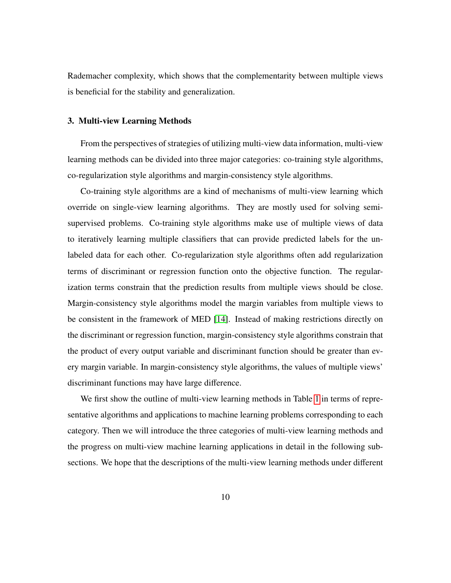Rademacher complexity, which shows that the complementarity between multiple views is beneficial for the stability and generalization.

## 3. Multi-view Learning Methods

From the perspectives of strategies of utilizing multi-view data information, multi-view learning methods can be divided into three major categories: co-training style algorithms, co-regularization style algorithms and margin-consistency style algorithms.

Co-training style algorithms are a kind of mechanisms of multi-view learning which override on single-view learning algorithms. They are mostly used for solving semisupervised problems. Co-training style algorithms make use of multiple views of data to iteratively learning multiple classifiers that can provide predicted labels for the unlabeled data for each other. Co-regularization style algorithms often add regularization terms of discriminant or regression function onto the objective function. The regularization terms constrain that the prediction results from multiple views should be close. Margin-consistency style algorithms model the margin variables from multiple views to be consistent in the framework of MED [\[14\]](#page-36-3). Instead of making restrictions directly on the discriminant or regression function, margin-consistency style algorithms constrain that the product of every output variable and discriminant function should be greater than every margin variable. In margin-consistency style algorithms, the values of multiple views' discriminant functions may have large difference.

We first show the outline of multi-view learning methods in Table [1](#page-10-0) in terms of representative algorithms and applications to machine learning problems corresponding to each category. Then we will introduce the three categories of multi-view learning methods and the progress on multi-view machine learning applications in detail in the following subsections. We hope that the descriptions of the multi-view learning methods under different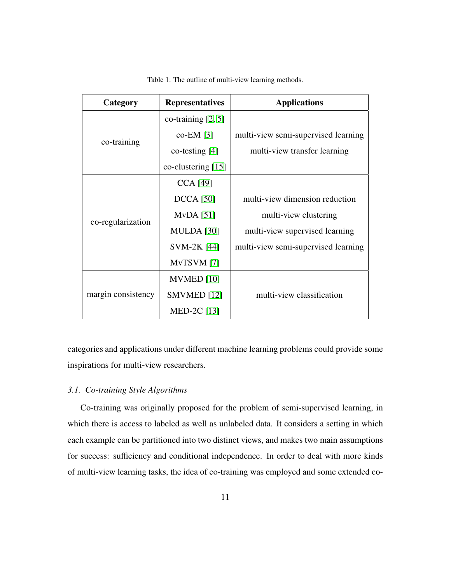<span id="page-10-0"></span>

| Category           | <b>Representatives</b> | <b>Applications</b>                 |
|--------------------|------------------------|-------------------------------------|
| co-training        | co-training $[2, 5]$   |                                     |
|                    | $co-EM$ [3]            | multi-view semi-supervised learning |
|                    | $\cot$ co-testing [4]  | multi-view transfer learning        |
|                    | co-clustering [15]     |                                     |
| co-regularization  | <b>CCA</b> [49]        |                                     |
|                    | <b>DCCA</b> [50]       | multi-view dimension reduction      |
|                    | $MvDA$ [51]            | multi-view clustering               |
|                    | <b>MULDA</b> [30]      | multi-view supervised learning      |
|                    | SVM-2K [44]            | multi-view semi-supervised learning |
|                    | MvTSVM [7]             |                                     |
| margin consistency | MVMED [10]             |                                     |
|                    | SMVMED <sup>[12]</sup> | multi-view classification           |
|                    | MED-2C $[13]$          |                                     |

Table 1: The outline of multi-view learning methods.

categories and applications under different machine learning problems could provide some inspirations for multi-view researchers.

# *3.1. Co-training Style Algorithms*

Co-training was originally proposed for the problem of semi-supervised learning, in which there is access to labeled as well as unlabeled data. It considers a setting in which each example can be partitioned into two distinct views, and makes two main assumptions for success: sufficiency and conditional independence. In order to deal with more kinds of multi-view learning tasks, the idea of co-training was employed and some extended co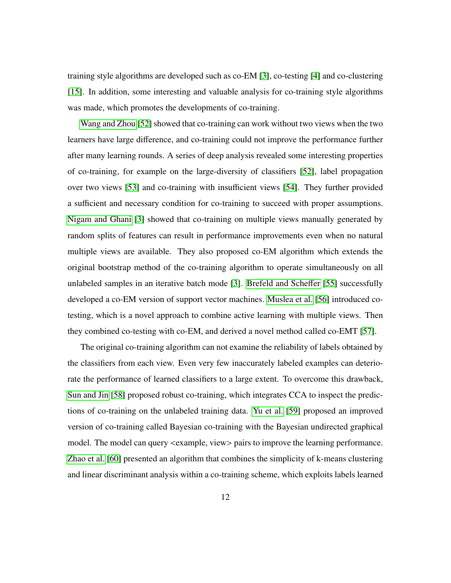training style algorithms are developed such as co-EM [\[3\]](#page-35-1), co-testing [\[4\]](#page-35-2) and co-clustering [\[15\]](#page-36-4). In addition, some interesting and valuable analysis for co-training style algorithms was made, which promotes the developments of co-training.

[Wang and Zhou](#page-40-7) [\[52\]](#page-40-7) showed that co-training can work without two views when the two learners have large difference, and co-training could not improve the performance further after many learning rounds. A series of deep analysis revealed some interesting properties of co-training, for example on the large-diversity of classifiers [\[52\]](#page-40-7), label propagation over two views [\[53\]](#page-40-8) and co-training with insufficient views [\[54\]](#page-41-0). They further provided a sufficient and necessary condition for co-training to succeed with proper assumptions. [Nigam and Ghani](#page-35-1) [\[3\]](#page-35-1) showed that co-training on multiple views manually generated by random splits of features can result in performance improvements even when no natural multiple views are available. They also proposed co-EM algorithm which extends the original bootstrap method of the co-training algorithm to operate simultaneously on all unlabeled samples in an iterative batch mode [\[3\]](#page-35-1). [Brefeld and Sche](#page-41-1)ffer [\[55\]](#page-41-1) successfully developed a co-EM version of support vector machines. [Muslea et al.](#page-41-2) [\[56\]](#page-41-2) introduced cotesting, which is a novel approach to combine active learning with multiple views. Then they combined co-testing with co-EM, and derived a novel method called co-EMT [\[57\]](#page-41-3).

The original co-training algorithm can not examine the reliability of labels obtained by the classifiers from each view. Even very few inaccurately labeled examples can deteriorate the performance of learned classifiers to a large extent. To overcome this drawback, [Sun and Jin](#page-41-4) [\[58\]](#page-41-4) proposed robust co-training, which integrates CCA to inspect the predictions of co-training on the unlabeled training data. [Yu et al.](#page-41-5) [\[59\]](#page-41-5) proposed an improved version of co-training called Bayesian co-training with the Bayesian undirected graphical model. The model can query  $\langle$  example, view $\rangle$  pairs to improve the learning performance. [Zhao et al.](#page-41-6) [\[60\]](#page-41-6) presented an algorithm that combines the simplicity of k-means clustering and linear discriminant analysis within a co-training scheme, which exploits labels learned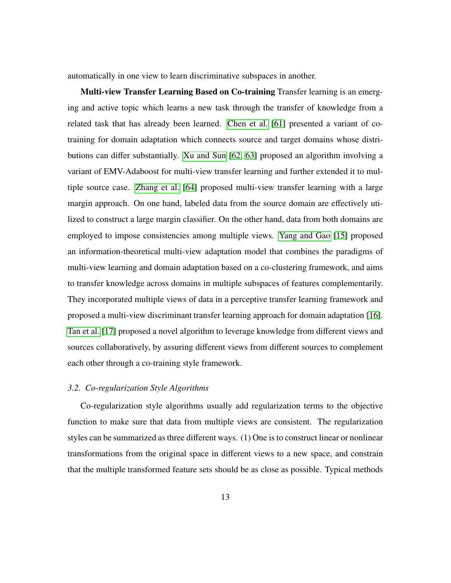automatically in one view to learn discriminative subspaces in another.

Multi-view Transfer Learning Based on Co-training Transfer learning is an emerging and active topic which learns a new task through the transfer of knowledge from a related task that has already been learned. [Chen et al.](#page-41-7) [\[61\]](#page-41-7) presented a variant of cotraining for domain adaptation which connects source and target domains whose distributions can differ substantially. [Xu and Sun](#page-41-8) [\[62,](#page-41-8) [63\]](#page-41-9) proposed an algorithm involving a variant of EMV-Adaboost for multi-view transfer learning and further extended it to multiple source case. [Zhang et al.](#page-42-0) [\[64\]](#page-42-0) proposed multi-view transfer learning with a large margin approach. On one hand, labeled data from the source domain are effectively utilized to construct a large margin classifier. On the other hand, data from both domains are employed to impose consistencies among multiple views. [Yang and Gao](#page-36-4) [\[15\]](#page-36-4) proposed an information-theoretical multi-view adaptation model that combines the paradigms of multi-view learning and domain adaptation based on a co-clustering framework, and aims to transfer knowledge across domains in multiple subspaces of features complementarily. They incorporated multiple views of data in a perceptive transfer learning framework and proposed a multi-view discriminant transfer learning approach for domain adaptation [\[16\]](#page-36-5). [Tan et al.](#page-36-6) [\[17\]](#page-36-6) proposed a novel algorithm to leverage knowledge from different views and sources collaboratively, by assuring different views from different sources to complement each other through a co-training style framework.

## *3.2. Co-regularization Style Algorithms*

Co-regularization style algorithms usually add regularization terms to the objective function to make sure that data from multiple views are consistent. The regularization styles can be summarized as three different ways. (1) One is to construct linear or nonlinear transformations from the original space in different views to a new space, and constrain that the multiple transformed feature sets should be as close as possible. Typical methods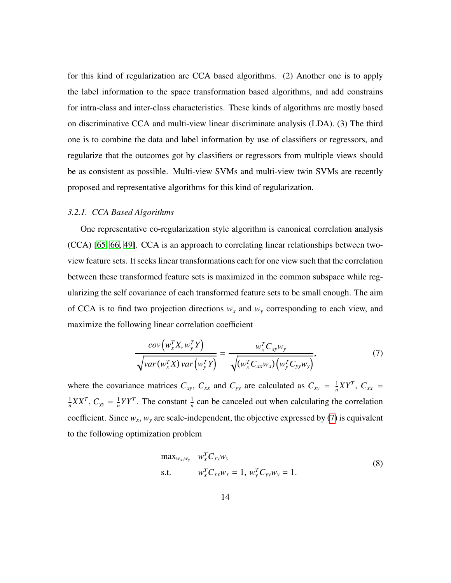for this kind of regularization are CCA based algorithms. (2) Another one is to apply the label information to the space transformation based algorithms, and add constrains for intra-class and inter-class characteristics. These kinds of algorithms are mostly based on discriminative CCA and multi-view linear discriminate analysis (LDA). (3) The third one is to combine the data and label information by use of classifiers or regressors, and regularize that the outcomes got by classifiers or regressors from multiple views should be as consistent as possible. Multi-view SVMs and multi-view twin SVMs are recently proposed and representative algorithms for this kind of regularization.

# *3.2.1. CCA Based Algorithms*

One representative co-regularization style algorithm is canonical correlation analysis (CCA) [\[65,](#page-42-1) [66,](#page-42-2) [49\]](#page-40-4). CCA is an approach to correlating linear relationships between twoview feature sets. It seeks linear transformations each for one view such that the correlation between these transformed feature sets is maximized in the common subspace while regularizing the self covariance of each transformed feature sets to be small enough. The aim of CCA is to find two projection directions  $w_x$  and  $w_y$  corresponding to each view, and maximize the following linear correlation coefficient

<span id="page-13-0"></span>
$$
\frac{cov\left(w_x^T X, w_y^T Y\right)}{\sqrt{var\left(w_x^T X\right) var\left(w_y^T Y\right)}} = \frac{w_x^T C_{xy} w_y}{\sqrt{\left(w_x^T C_{xx} w_x\right) \left(w_y^T C_{yy} w_y\right)}},\tag{7}
$$

where the covariance matrices  $C_{xy}$ ,  $C_{xx}$  and  $C_{yy}$  are calculated as  $C_{xy} = \frac{1}{n}$  $\frac{1}{n}XY^T$ ,  $C_{xx}$  = 1  $\frac{1}{n}XX^T$ ,  $C_{yy} = \frac{1}{n}$  $\frac{1}{n}YY^T$ . The constant  $\frac{1}{n}$  can be canceled out when calculating the correlation coefficient. Since  $w_x$ ,  $w_y$  are scale-independent, the objective expressed by [\(7\)](#page-13-0) is equivalent to the following optimization problem

<span id="page-13-1"></span>
$$
\max_{w_x, w_y} \quad w_x^T C_{xy} w_y
$$
  
s.t. 
$$
w_x^T C_{xx} w_x = 1, \ w_y^T C_{yy} w_y = 1.
$$
 (8)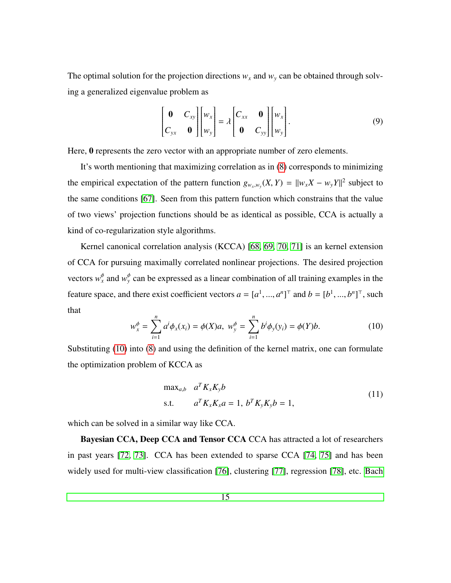The optimal solution for the projection directions  $w_x$  and  $w_y$  can be obtained through solving a generalized eigenvalue problem as

$$
\begin{bmatrix} \mathbf{0} & C_{xy} \\ C_{yx} & \mathbf{0} \end{bmatrix} \begin{bmatrix} w_x \\ w_y \end{bmatrix} = \lambda \begin{bmatrix} C_{xx} & \mathbf{0} \\ \mathbf{0} & C_{yy} \end{bmatrix} \begin{bmatrix} w_x \\ w_y \end{bmatrix} . \tag{9}
$$

Here,  $\theta$  represents the zero vector with an appropriate number of zero elements.

It's worth mentioning that maximizing correlation as in [\(8\)](#page-13-1) corresponds to minimizing the empirical expectation of the pattern function  $g_{w_x,w_y}(X, Y) = ||w_x X - w_y Y||^2$  subject to the same conditions [\[67\]](#page-42-3). Seen from this pattern function which constrains that the value of two views' projection functions should be as identical as possible, CCA is actually a kind of co-regularization style algorithms.

Kernel canonical correlation analysis (KCCA) [\[68,](#page-42-4) [69,](#page-42-5) [70,](#page-42-6) [71\]](#page-42-7) is an kernel extension of CCA for pursuing maximally correlated nonlinear projections. The desired projection vectors  $w_x^{\phi}$  and  $w_y^{\phi}$  can be expressed as a linear combination of all training examples in the feature space, and there exist coefficient vectors  $a = [a^1, ..., a^n]^\top$  and  $b = [b^1, ..., b^n]^\top$ , such that

<span id="page-14-0"></span>
$$
w_x^{\phi} = \sum_{i=1}^n a^i \phi_x(x_i) = \phi(X)a, \ w_y^{\phi} = \sum_{i=1}^n b^i \phi_y(y_i) = \phi(Y)b.
$$
 (10)

Substituting [\(10\)](#page-14-0) into [\(8\)](#page-13-1) and using the definition of the kernel matrix, one can formulate the optimization problem of KCCA as

max<sub>a,b</sub> 
$$
a^T K_x K_y b
$$
  
s.t.  $a^T K_x K_x a = 1, b^T K_y K_y b = 1,$  (11)

which can be solved in a similar way like CCA.

Bayesian CCA, Deep CCA and Tensor CCA CCA has attracted a lot of researchers in past years [\[72,](#page-42-8) [73\]](#page-42-9). CCA has been extended to sparse CCA [\[74,](#page-43-0) [75\]](#page-43-1) and has been widely used for multi-view classification [\[76\]](#page-43-2), clustering [\[77\]](#page-43-3), regression [\[78\]](#page-43-4), etc. [Bach](#page-43-5)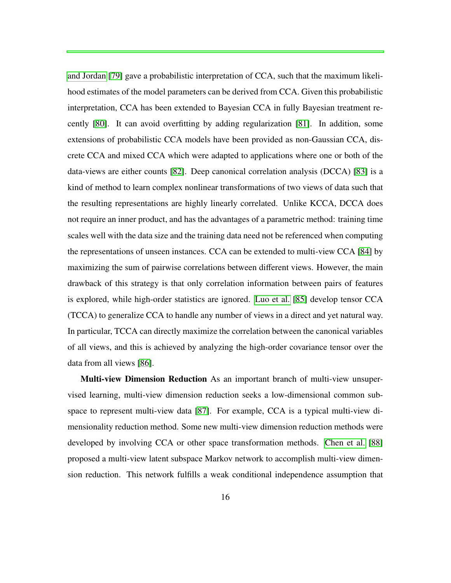[and Jordan](#page-43-5) [\[79\]](#page-43-5) gave a probabilistic interpretation of CCA, such that the maximum likelihood estimates of the model parameters can be derived from CCA. Given this probabilistic interpretation, CCA has been extended to Bayesian CCA in fully Bayesian treatment recently [\[80\]](#page-43-6). It can avoid overfitting by adding regularization [\[81\]](#page-43-7). In addition, some extensions of probabilistic CCA models have been provided as non-Gaussian CCA, discrete CCA and mixed CCA which were adapted to applications where one or both of the data-views are either counts [\[82\]](#page-44-0). Deep canonical correlation analysis (DCCA) [\[83\]](#page-44-1) is a kind of method to learn complex nonlinear transformations of two views of data such that the resulting representations are highly linearly correlated. Unlike KCCA, DCCA does not require an inner product, and has the advantages of a parametric method: training time scales well with the data size and the training data need not be referenced when computing the representations of unseen instances. CCA can be extended to multi-view CCA [\[84\]](#page-44-2) by maximizing the sum of pairwise correlations between different views. However, the main drawback of this strategy is that only correlation information between pairs of features is explored, while high-order statistics are ignored. [Luo et al.](#page-44-3) [\[85\]](#page-44-3) develop tensor CCA (TCCA) to generalize CCA to handle any number of views in a direct and yet natural way. In particular, TCCA can directly maximize the correlation between the canonical variables of all views, and this is achieved by analyzing the high-order covariance tensor over the data from all views [\[86\]](#page-44-4).

Multi-view Dimension Reduction As an important branch of multi-view unsupervised learning, multi-view dimension reduction seeks a low-dimensional common subspace to represent multi-view data [\[87\]](#page-44-5). For example, CCA is a typical multi-view dimensionality reduction method. Some new multi-view dimension reduction methods were developed by involving CCA or other space transformation methods. [Chen et al.](#page-44-6) [\[88\]](#page-44-6) proposed a multi-view latent subspace Markov network to accomplish multi-view dimension reduction. This network fulfills a weak conditional independence assumption that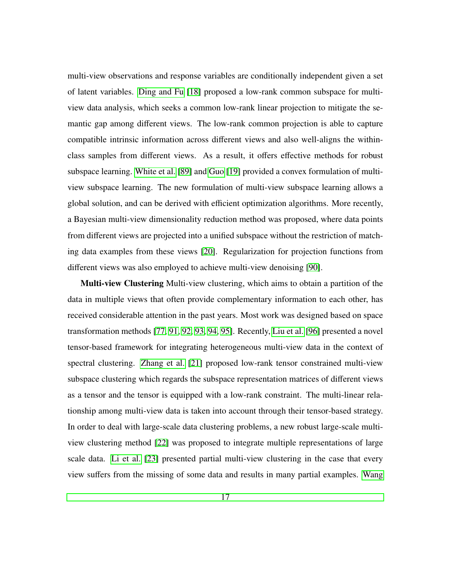multi-view observations and response variables are conditionally independent given a set of latent variables. [Ding and Fu](#page-36-7) [\[18\]](#page-36-7) proposed a low-rank common subspace for multiview data analysis, which seeks a common low-rank linear projection to mitigate the semantic gap among different views. The low-rank common projection is able to capture compatible intrinsic information across different views and also well-aligns the withinclass samples from different views. As a result, it offers effective methods for robust subspace learning. [White et al.](#page-44-7) [\[89\]](#page-44-7) and [Guo](#page-36-8) [\[19\]](#page-36-8) provided a convex formulation of multiview subspace learning. The new formulation of multi-view subspace learning allows a global solution, and can be derived with efficient optimization algorithms. More recently, a Bayesian multi-view dimensionality reduction method was proposed, where data points from different views are projected into a unified subspace without the restriction of matching data examples from these views [\[20\]](#page-37-0). Regularization for projection functions from different views was also employed to achieve multi-view denoising [\[90\]](#page-45-0).

Multi-view Clustering Multi-view clustering, which aims to obtain a partition of the data in multiple views that often provide complementary information to each other, has received considerable attention in the past years. Most work was designed based on space transformation methods [\[77,](#page-43-3) [91,](#page-45-1) [92,](#page-45-2) [93,](#page-45-3) [94,](#page-45-4) [95\]](#page-45-5). Recently, [Liu et al.](#page-45-6) [\[96\]](#page-45-6) presented a novel tensor-based framework for integrating heterogeneous multi-view data in the context of spectral clustering. [Zhang et al.](#page-37-1) [\[21\]](#page-37-1) proposed low-rank tensor constrained multi-view subspace clustering which regards the subspace representation matrices of different views as a tensor and the tensor is equipped with a low-rank constraint. The multi-linear relationship among multi-view data is taken into account through their tensor-based strategy. In order to deal with large-scale data clustering problems, a new robust large-scale multiview clustering method [\[22\]](#page-37-2) was proposed to integrate multiple representations of large scale data. [Li et al.](#page-37-3) [\[23\]](#page-37-3) presented partial multi-view clustering in the case that every view suffers from the missing of some data and results in many partial examples. [Wang](#page-45-7)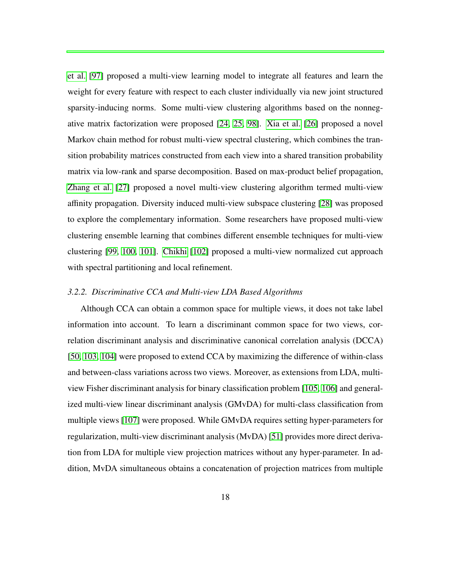[et al.](#page-45-7) [\[97\]](#page-45-7) proposed a multi-view learning model to integrate all features and learn the weight for every feature with respect to each cluster individually via new joint structured sparsity-inducing norms. Some multi-view clustering algorithms based on the nonnegative matrix factorization were proposed [\[24,](#page-37-4) [25,](#page-37-5) [98\]](#page-45-8). [Xia et al.](#page-37-6) [\[26\]](#page-37-6) proposed a novel Markov chain method for robust multi-view spectral clustering, which combines the transition probability matrices constructed from each view into a shared transition probability matrix via low-rank and sparse decomposition. Based on max-product belief propagation, [Zhang et al.](#page-37-7) [\[27\]](#page-37-7) proposed a novel multi-view clustering algorithm termed multi-view affinity propagation. Diversity induced multi-view subspace clustering [\[28\]](#page-38-0) was proposed to explore the complementary information. Some researchers have proposed multi-view clustering ensemble learning that combines different ensemble techniques for multi-view clustering [\[99,](#page-46-0) [100,](#page-46-1) [101\]](#page-46-2). [Chikhi](#page-46-3) [\[102\]](#page-46-3) proposed a multi-view normalized cut approach with spectral partitioning and local refinement.

# *3.2.2. Discriminative CCA and Multi-view LDA Based Algorithms*

Although CCA can obtain a common space for multiple views, it does not take label information into account. To learn a discriminant common space for two views, correlation discriminant analysis and discriminative canonical correlation analysis (DCCA) [\[50,](#page-40-5) [103,](#page-46-4) [104\]](#page-46-5) were proposed to extend CCA by maximizing the difference of within-class and between-class variations across two views. Moreover, as extensions from LDA, multiview Fisher discriminant analysis for binary classification problem [\[105,](#page-46-6) [106\]](#page-46-7) and generalized multi-view linear discriminant analysis (GMvDA) for multi-class classification from multiple views [\[107\]](#page-47-0) were proposed. While GMvDA requires setting hyper-parameters for regularization, multi-view discriminant analysis (MvDA) [\[51\]](#page-40-6) provides more direct derivation from LDA for multiple view projection matrices without any hyper-parameter. In addition, MvDA simultaneous obtains a concatenation of projection matrices from multiple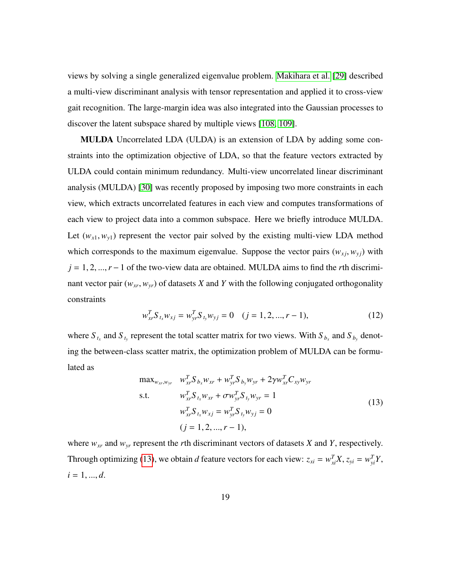views by solving a single generalized eigenvalue problem. [Makihara et al.](#page-38-1) [\[29\]](#page-38-1) described a multi-view discriminant analysis with tensor representation and applied it to cross-view gait recognition. The large-margin idea was also integrated into the Gaussian processes to discover the latent subspace shared by multiple views [\[108,](#page-47-1) [109\]](#page-47-2).

MULDA Uncorrelated LDA (ULDA) is an extension of LDA by adding some constraints into the optimization objective of LDA, so that the feature vectors extracted by ULDA could contain minimum redundancy. Multi-view uncorrelated linear discriminant analysis (MULDA) [\[30\]](#page-38-2) was recently proposed by imposing two more constraints in each view, which extracts uncorrelated features in each view and computes transformations of each view to project data into a common subspace. Here we briefly introduce MULDA. Let  $(w_{x1}, w_{y1})$  represent the vector pair solved by the existing multi-view LDA method which corresponds to the maximum eigenvalue. Suppose the vector pairs  $(w_{xi}, w_{yi})$  with *<sup>j</sup>* <sup>=</sup> <sup>1</sup>, <sup>2</sup>, ...,*<sup>r</sup>* <sup>−</sup>1 of the two-view data are obtained. MULDA aims to find the *<sup>r</sup>*th discriminant vector pair  $(w_{xr}, w_{yr})$  of datasets *X* and *Y* with the following conjugated orthogonality constraints

$$
w_{xr}^T S_{t_x} w_{x_j} = w_{yr}^T S_{t_y} w_{y_j} = 0 \quad (j = 1, 2, ..., r - 1),
$$
 (12)

where  $S_{t_x}$  and  $S_{t_y}$  represent the total scatter matrix for two views. With  $S_{b_x}$  and  $S_{b_y}$  denoting the between-class scatter matrix, the optimization problem of MULDA can be formulated as

<span id="page-18-0"></span>
$$
\max_{w_{xr}, w_{yr}} \quad w_{xr}^T S_{b_x} w_{xr} + w_{yr}^T S_{b_y} w_{yr} + 2\gamma w_{xr}^T C_{xy} w_{yr} \ns.t. \quad w_{xr}^T S_{t_x} w_{xr} + \sigma w_{yr}^T S_{t_y} w_{yr} = 1 \n w_{xr}^T S_{t_x} w_{xj} = w_{yr}^T S_{t_y} w_{yj} = 0 \n (j = 1, 2, ..., r - 1),
$$
\n(13)

where *wxr* and *wyr* represent the *r*th discriminant vectors of datasets *X* and *Y*, respectively. Through optimizing [\(13\)](#page-18-0), we obtain *d* feature vectors for each view:  $z_{xi} = w_{xi}^T X$ ,  $z_{yi} = w_{yi}^T Y$ ,  $i = 1, ..., d$ .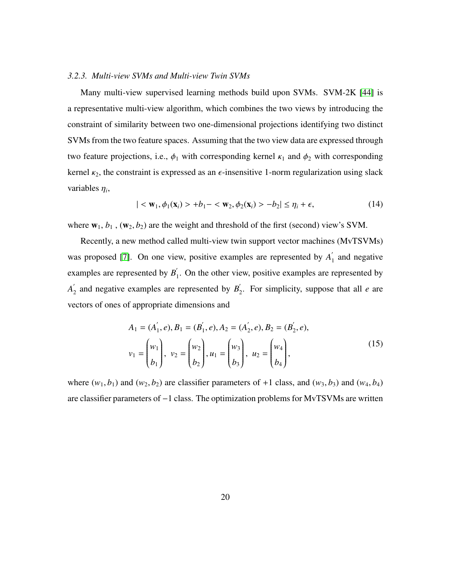#### *3.2.3. Multi-view SVMs and Multi-view Twin SVMs*

 $\overline{a}$ 

Many multi-view supervised learning methods build upon SVMs. SVM-2K [\[44\]](#page-39-8) is a representative multi-view algorithm, which combines the two views by introducing the constraint of similarity between two one-dimensional projections identifying two distinct SVMs from the two feature spaces. Assuming that the two view data are expressed through two feature projections, i.e.,  $\phi_1$  with corresponding kernel  $\kappa_1$  and  $\phi_2$  with corresponding kernel  $\kappa_2$ , the constraint is expressed as an  $\epsilon$ -insensitive 1-norm regularization using slack variables  $\eta_i$ ,

$$
|\langle \mathbf{w}_1, \phi_1(\mathbf{x}_i) \rangle + b_1 - \langle \mathbf{w}_2, \phi_2(\mathbf{x}_i) \rangle - b_2| \le \eta_i + \epsilon,
$$
 (14)

where  $w_1$ ,  $b_1$ ,  $(w_2, b_2)$  are the weight and threshold of the first (second) view's SVM.

Recently, a new method called multi-view twin support vector machines (MvTSVMs) was proposed [\[7\]](#page-35-5). On one view, positive examples are represented by  $A_1'$  $\int_1$  and negative examples are represented by  $B_1$ <sup>'</sup>  $\int_1$ . On the other view, positive examples are represented by  $A'$  $\frac{1}{2}$  and negative examples are represented by  $B_2$  $\int_2$ . For simplicity, suppose that all *e* are vectors of ones of appropriate dimensions and

$$
A_1 = (A'_1, e), B_1 = (B'_1, e), A_2 = (A'_2, e), B_2 = (B'_2, e),
$$
  

$$
v_1 = \begin{pmatrix} w_1 \\ b_1 \end{pmatrix}, v_2 = \begin{pmatrix} w_2 \\ b_2 \end{pmatrix}, u_1 = \begin{pmatrix} w_3 \\ b_3 \end{pmatrix}, u_2 = \begin{pmatrix} w_4 \\ b_4 \end{pmatrix},
$$
 (15)

where  $(w_1, b_1)$  and  $(w_2, b_2)$  are classifier parameters of +1 class, and  $(w_3, b_3)$  and  $(w_4, b_4)$ are classifier parameters of −1 class. The optimization problems for MvTSVMs are written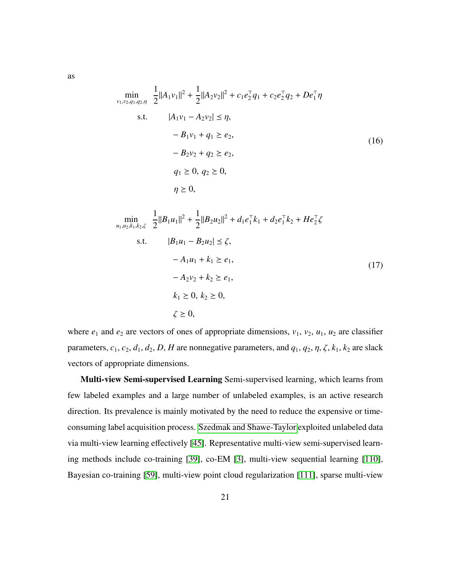$$
\min_{\substack{\nu_1,\nu_2,q_1,q_2,\eta \\ \nu_1,\nu_2,q_1,q_2,\eta}} \frac{1}{2} ||A_1 \nu_1||^2 + \frac{1}{2} ||A_2 \nu_2||^2 + c_1 e_2^{\top} q_1 + c_2 e_2^{\top} q_2 + D e_1^{\top} \eta
$$
\n
$$
\text{s.t.} \qquad |A_1 \nu_1 - A_2 \nu_2| \le \eta,
$$
\n
$$
- B_1 \nu_1 + q_1 \ge e_2,
$$
\n
$$
- B_2 \nu_2 + q_2 \ge e_2,
$$
\n
$$
q_1 \ge 0, q_2 \ge 0,
$$
\n
$$
\eta \ge 0,
$$
\n
$$
(16)
$$

$$
\min_{u_1, u_2, k_1, k_2, \zeta} \frac{1}{2} ||B_1 u_1||^2 + \frac{1}{2} ||B_2 u_2||^2 + d_1 e_1^{\top} k_1 + d_2 e_1^{\top} k_2 + H e_2^{\top} \zeta
$$
  
s.t.  $|B_1 u_1 - B_2 u_2| \le \zeta$ ,  
 $- A_1 u_1 + k_1 \ge e_1$ ,  
 $- A_2 v_2 + k_2 \ge e_1$ ,  
 $k_1 \ge 0, k_2 \ge 0$ ,  
 $\zeta \ge 0$ ,  
 $\zeta \ge 0$ ,  
 $\zeta \ge 0$ ,

where  $e_1$  and  $e_2$  are vectors of ones of appropriate dimensions,  $v_1$ ,  $v_2$ ,  $u_1$ ,  $u_2$  are classifier parameters,  $c_1$ ,  $c_2$ ,  $d_1$ ,  $d_2$ ,  $D$ ,  $H$  are nonnegative parameters, and  $q_1$ ,  $q_2$ ,  $\eta$ ,  $\zeta$ ,  $k_1$ ,  $k_2$  are slack vectors of appropriate dimensions.

Multi-view Semi-supervised Learning Semi-supervised learning, which learns from few labeled examples and a large number of unlabeled examples, is an active research direction. Its prevalence is mainly motivated by the need to reduce the expensive or timeconsuming label acquisition process. [Szedmak and Shawe-Taylor](#page-40-0) exploited unlabeled data via multi-view learning effectively [\[45\]](#page-40-0). Representative multi-view semi-supervised learning methods include co-training [\[39\]](#page-39-3), co-EM [\[3\]](#page-35-1), multi-view sequential learning [\[110\]](#page-47-3), Bayesian co-training [\[59\]](#page-41-5), multi-view point cloud regularization [\[111\]](#page-47-4), sparse multi-view

as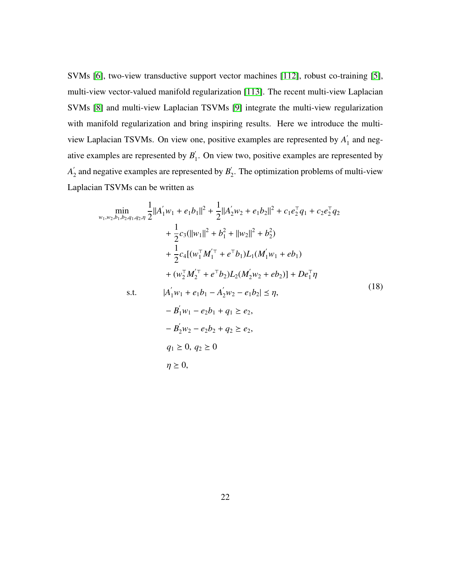SVMs [\[6\]](#page-35-4), two-view transductive support vector machines [\[112\]](#page-47-5), robust co-training [\[5\]](#page-35-3), multi-view vector-valued manifold regularization [\[113\]](#page-47-6). The recent multi-view Laplacian SVMs [\[8\]](#page-35-6) and multi-view Laplacian TSVMs [\[9\]](#page-35-7) integrate the multi-view regularization with manifold regularization and bring inspiring results. Here we introduce the multiview Laplacian TSVMs. On view one, positive examples are represented by  $A_1'$  $\int_1$  and negative examples are represented by  $B_1$ <sup>2</sup>  $\int_1$ . On view two, positive examples are represented by  $A'$  $\frac{1}{2}$  and negative examples are represented by  $B_2$  $\int_2$ . The optimization problems of multi-view Laplacian TSVMs can be written as

$$
\min_{w_1, w_2, b_1, b_2, q_1, q_2, \eta} \frac{1}{2} ||A'_1 w_1 + e_1 b_1||^2 + \frac{1}{2} ||A'_2 w_2 + e_1 b_2||^2 + c_1 e_2^{\top} q_1 + c_2 e_2^{\top} q_2 \n+ \frac{1}{2} c_3 (||w_1||^2 + b_1^2 + ||w_2||^2 + b_2^2) \n+ \frac{1}{2} c_4 [(\mathbf{w}_1^{\top} \mathbf{M}_1^{\prime \top} + e^{\top} b_1) L_1 (\mathbf{M}_1^{\prime} w_1 + e b_1) \n+ (\mathbf{w}_2^{\top} \mathbf{M}_2^{\prime \top} + e^{\top} b_2) L_2 (\mathbf{M}_2^{\prime} w_2 + e b_2)] + D e_1^{\top} \eta \ns.t. \qquad |A'_1 w_1 + e_1 b_1 - A'_2 w_2 - e_1 b_2| \le \eta, \n- B'_1 w_1 - e_2 b_1 + q_1 \ge e_2, \n- B'_2 w_2 - e_2 b_2 + q_2 \ge e_2, \nq_1 \ge 0, q_2 \ge 0 \n\eta \ge 0,
$$
\n(18)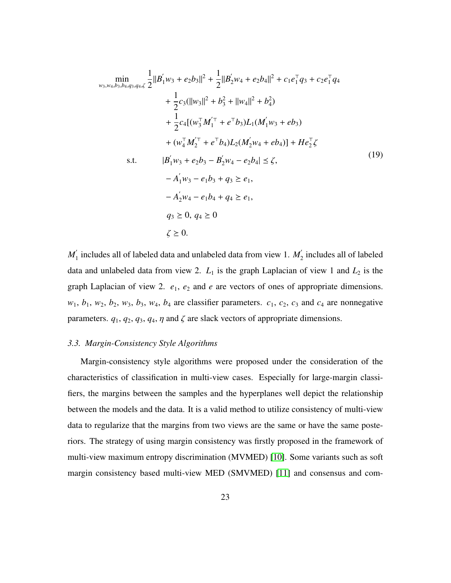$$
\min_{w_3, w_4, b_3, b_4, q_3, q_4, \zeta} \frac{1}{2} ||B'_1 w_3 + e_2 b_3||^2 + \frac{1}{2} ||B'_2 w_4 + e_2 b_4||^2 + c_1 e_1^\top q_3 + c_2 e_1^\top q_4 \n+ \frac{1}{2} c_3 (||w_3||^2 + b_3^2 + ||w_4||^2 + b_4^2) \n+ \frac{1}{2} c_4 [ (w_3^\top M_1^\top + e^\top b_3) L_1 (M_1' w_3 + e b_3) \n+ (w_4^\top M_2^\top + e^\top b_4) L_2 (M_2' w_4 + e b_4) ] + He_2^\top \zeta \ns.t. \qquad |B'_1 w_3 + e_2 b_3 - B'_2 w_4 - e_2 b_4| \le \zeta, \n- A'_1 w_3 - e_1 b_3 + q_3 \ge e_1, \n- A'_2 w_4 - e_1 b_4 + q_4 \ge e_1, \nq_3 \ge 0, q_4 \ge 0 \n\zeta \ge 0.
$$
\n
$$
(19)
$$

 $M_{1}^{'}$  $\frac{1}{1}$  includes all of labeled data and unlabeled data from view 1.  $M_2^{'}$  $\frac{1}{2}$  includes all of labeled data and unlabeled data from view 2.  $L_1$  is the graph Laplacian of view 1 and  $L_2$  is the graph Laplacian of view 2.  $e_1$ ,  $e_2$  and  $e$  are vectors of ones of appropriate dimensions.  $w_1$ ,  $b_1$ ,  $w_2$ ,  $b_2$ ,  $w_3$ ,  $b_3$ ,  $w_4$ ,  $b_4$  are classifier parameters.  $c_1$ ,  $c_2$ ,  $c_3$  and  $c_4$  are nonnegative parameters.  $q_1$ ,  $q_2$ ,  $q_3$ ,  $q_4$ ,  $\eta$  and  $\zeta$  are slack vectors of appropriate dimensions.

#### *3.3. Margin-Consistency Style Algorithms*

Margin-consistency style algorithms were proposed under the consideration of the characteristics of classification in multi-view cases. Especially for large-margin classifiers, the margins between the samples and the hyperplanes well depict the relationship between the models and the data. It is a valid method to utilize consistency of multi-view data to regularize that the margins from two views are the same or have the same posteriors. The strategy of using margin consistency was firstly proposed in the framework of multi-view maximum entropy discrimination (MVMED) [\[10\]](#page-35-8). Some variants such as soft margin consistency based multi-view MED (SMVMED) [\[11\]](#page-36-0) and consensus and com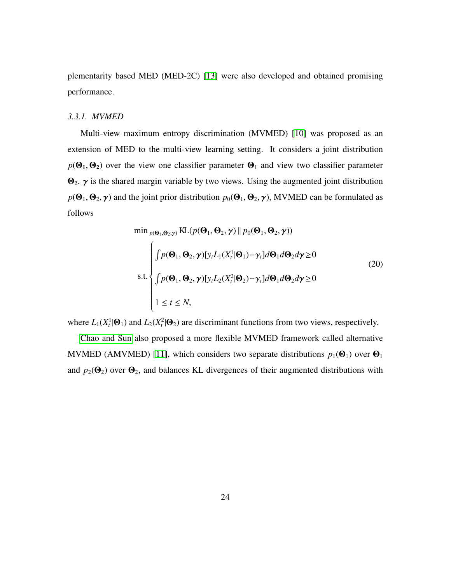plementarity based MED (MED-2C) [\[13\]](#page-36-2) were also developed and obtained promising performance.

#### *3.3.1. MVMED*

Multi-view maximum entropy discrimination (MVMED) [\[10\]](#page-35-8) was proposed as an extension of MED to the multi-view learning setting. It considers a joint distribution  $p(\Theta_1, \Theta_2)$  over the view one classifier parameter  $\Theta_1$  and view two classifier parameter  $\Theta_2$ .  $\gamma$  is the shared margin variable by two views. Using the augmented joint distribution  $p(\Theta_1, \Theta_2, \gamma)$  and the joint prior distribution  $p_0(\Theta_1, \Theta_2, \gamma)$ , MVMED can be formulated as follows

$$
\min_{p(\mathbf{\Theta}_1, \mathbf{\Theta}_2, \gamma)} \text{KL}(p(\mathbf{\Theta}_1, \mathbf{\Theta}_2, \gamma) \| p_0(\mathbf{\Theta}_1, \mathbf{\Theta}_2, \gamma))
$$
\n
$$
\int p(\mathbf{\Theta}_1, \mathbf{\Theta}_2, \gamma) [y_t L_1(X_t^1 | \mathbf{\Theta}_1) - \gamma_t] d\mathbf{\Theta}_1 d\mathbf{\Theta}_2 d\gamma \ge 0
$$
\n
$$
\text{s.t.} \begin{cases}\n\int p(\mathbf{\Theta}_1, \mathbf{\Theta}_2, \gamma) [y_t L_2(X_t^2 | \mathbf{\Theta}_2) - \gamma_t] d\mathbf{\Theta}_1 d\mathbf{\Theta}_2 d\gamma \ge 0 \\
\int p(\mathbf{\Theta}_1, \mathbf{\Theta}_2, \gamma) [y_t L_2(X_t^2 | \mathbf{\Theta}_2) - \gamma_t] d\mathbf{\Theta}_1 d\mathbf{\Theta}_2 d\gamma \ge 0 \\
1 \le t \le N,\n\end{cases} \tag{20}
$$

where  $L_1(X_t^1 | \Theta_1)$  and  $L_2(X_t^2 | \Theta_2)$  are discriminant functions from two views, respectively.

[Chao and Sun](#page-36-0) also proposed a more flexible MVMED framework called alternative MVMED (AMVMED) [\[11\]](#page-36-0), which considers two separate distributions  $p_1(\Theta_1)$  over  $\Theta_1$ and  $p_2(\Theta_2)$  over  $\Theta_2$ , and balances KL divergences of their augmented distributions with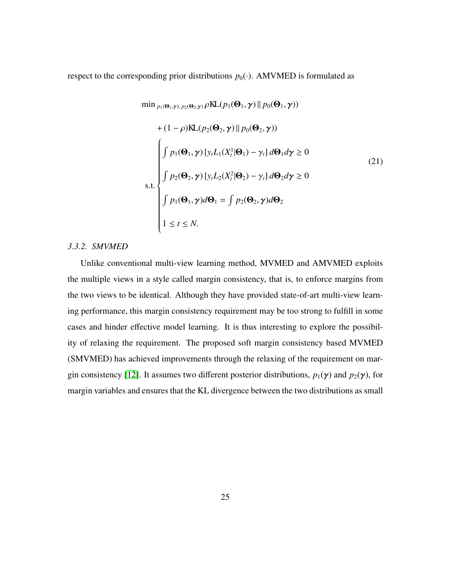respect to the corresponding prior distributions  $p_0(\cdot)$ . AMVMED is formulated as

$$
\min_{p_1(\mathbf{\Theta}_1, \mathbf{\gamma}), p_2(\mathbf{\Theta}_2, \mathbf{\gamma})} \rho \text{KL}(p_1(\mathbf{\Theta}_1, \mathbf{\gamma}) || p_0(\mathbf{\Theta}_1, \mathbf{\gamma}))
$$
  
+  $(1 - \rho) \text{KL}(p_2(\mathbf{\Theta}_2, \mathbf{\gamma}) || p_0(\mathbf{\Theta}_2, \mathbf{\gamma}))$   

$$
\int p_1(\mathbf{\Theta}_1, \mathbf{\gamma}) [y_t L_1(X_t^1 | \mathbf{\Theta}_1) - \gamma_t] d\mathbf{\Theta}_1 d\mathbf{\gamma} \ge 0
$$
  
s.t.  

$$
\int p_2(\mathbf{\Theta}_2, \mathbf{\gamma}) [y_t L_2(X_t^2 | \mathbf{\Theta}_2) - \gamma_t] d\mathbf{\Theta}_2 d\mathbf{\gamma} \ge 0
$$
  

$$
\int p_1(\mathbf{\Theta}_1, \mathbf{\gamma}) d\mathbf{\Theta}_1 = \int p_2(\mathbf{\Theta}_2, \mathbf{\gamma}) d\mathbf{\Theta}_2
$$
  

$$
1 \le t \le N.
$$
 (21)

## *3.3.2. SMVMED*

Unlike conventional multi-view learning method, MVMED and AMVMED exploits the multiple views in a style called margin consistency, that is, to enforce margins from the two views to be identical. Although they have provided state-of-art multi-view learning performance, this margin consistency requirement may be too strong to fulfill in some cases and hinder effective model learning. It is thus interesting to explore the possibility of relaxing the requirement. The proposed soft margin consistency based MVMED (SMVMED) has achieved improvements through the relaxing of the requirement on mar-gin consistency [\[12\]](#page-36-1). It assumes two different posterior distributions,  $p_1(\gamma)$  and  $p_2(\gamma)$ , for margin variables and ensures that the KL divergence between the two distributions as small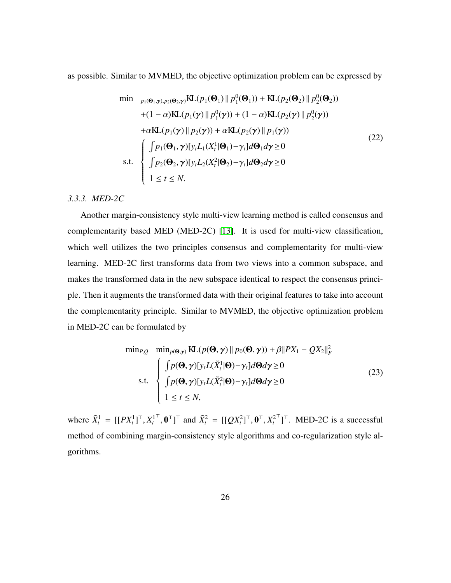as possible. Similar to MVMED, the objective optimization problem can be expressed by

$$
\min_{p_1(\Theta_1, \gamma), p_2(\Theta_2, \gamma)} \text{KL}(p_1(\Theta_1) \| p_1^0(\Theta_1)) + \text{KL}(p_2(\Theta_2) \| p_2^0(\Theta_2))
$$
\n
$$
+ (1 - \alpha) \text{KL}(p_1(\gamma) \| p_1^0(\gamma)) + (1 - \alpha) \text{KL}(p_2(\gamma) \| p_2^0(\gamma))
$$
\n
$$
+ \alpha \text{KL}(p_1(\gamma) \| p_2(\gamma)) + \alpha \text{KL}(p_2(\gamma) \| p_1(\gamma))
$$
\n
$$
\text{s.t.} \begin{cases} \int p_1(\Theta_1, \gamma) [y_t L_1(X_t^1 | \Theta_1) - \gamma_t] d\Theta_1 d\gamma \ge 0 \\ \int p_2(\Theta_2, \gamma) [y_t L_2(X_t^2 | \Theta_2) - \gamma_t] d\Theta_2 d\gamma \ge 0 \\ 1 \le t \le N. \end{cases} \tag{22}
$$

# *3.3.3. MED-2C*

Another margin-consistency style multi-view learning method is called consensus and complementarity based MED (MED-2C) [\[13\]](#page-36-2). It is used for multi-view classification, which well utilizes the two principles consensus and complementarity for multi-view learning. MED-2C first transforms data from two views into a common subspace, and makes the transformed data in the new subspace identical to respect the consensus principle. Then it augments the transformed data with their original features to take into account the complementarity principle. Similar to MVMED, the objective optimization problem in MED-2C can be formulated by

$$
\min_{P,Q} \min_{p(\mathbf{\Theta},\mathbf{\gamma})} \mathbf{KL}(p(\mathbf{\Theta},\mathbf{\gamma}) \parallel p_0(\mathbf{\Theta},\mathbf{\gamma})) + \beta ||PX_1 - QX_2||_F^2
$$
\n
$$
\text{s.t.} \begin{cases}\n\int p(\mathbf{\Theta},\mathbf{\gamma}) [y_t L(\tilde{X}_t^1 | \mathbf{\Theta}) - \gamma_t] d\mathbf{\Theta} d\mathbf{\gamma} \ge 0 \\
\int p(\mathbf{\Theta},\mathbf{\gamma}) [y_t L(\tilde{X}_t^2 | \mathbf{\Theta}) - \gamma_t] d\mathbf{\Theta} d\mathbf{\gamma} \ge 0 \\
1 \le t \le N,\n\end{cases} \tag{23}
$$

where  $\tilde{X}_t^1 = [[PX_t^1]^\top, X_t^1]$  $(\mathbf{Q}X_t^2)^\top$ ,  $\mathbf{0}^\top, \mathbf{X}_t^2 = [[\mathbf{Q}X_t^2]^\top, \mathbf{0}^\top, X_t^2]$  $\bigcup_{i=1}^{\infty}$  MED-2C is a successful method of combining margin-consistency style algorithms and co-regularization style algorithms.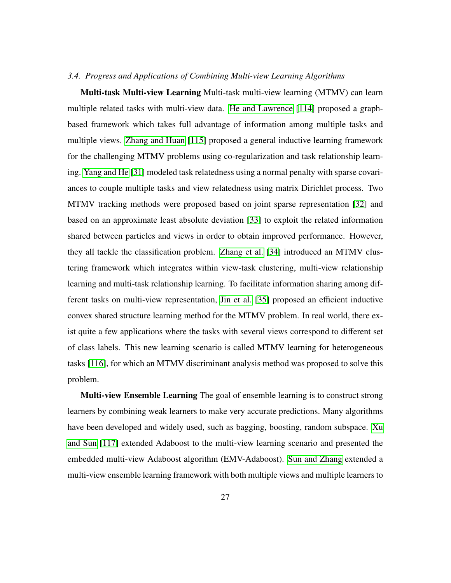#### *3.4. Progress and Applications of Combining Multi-view Learning Algorithms*

Multi-task Multi-view Learning Multi-task multi-view learning (MTMV) can learn multiple related tasks with multi-view data. [He and Lawrence](#page-47-7) [\[114\]](#page-47-7) proposed a graphbased framework which takes full advantage of information among multiple tasks and multiple views. [Zhang and Huan](#page-48-0) [\[115\]](#page-48-0) proposed a general inductive learning framework for the challenging MTMV problems using co-regularization and task relationship learning. [Yang and He](#page-38-3) [\[31\]](#page-38-3) modeled task relatedness using a normal penalty with sparse covariances to couple multiple tasks and view relatedness using matrix Dirichlet process. Two MTMV tracking methods were proposed based on joint sparse representation [\[32\]](#page-38-4) and based on an approximate least absolute deviation [\[33\]](#page-38-5) to exploit the related information shared between particles and views in order to obtain improved performance. However, they all tackle the classification problem. [Zhang et al.](#page-38-6) [\[34\]](#page-38-6) introduced an MTMV clustering framework which integrates within view-task clustering, multi-view relationship learning and multi-task relationship learning. To facilitate information sharing among different tasks on multi-view representation, [Jin et al.](#page-38-7) [\[35\]](#page-38-7) proposed an efficient inductive convex shared structure learning method for the MTMV problem. In real world, there exist quite a few applications where the tasks with several views correspond to different set of class labels. This new learning scenario is called MTMV learning for heterogeneous tasks [\[116\]](#page-48-1), for which an MTMV discriminant analysis method was proposed to solve this problem.

Multi-view Ensemble Learning The goal of ensemble learning is to construct strong learners by combining weak learners to make very accurate predictions. Many algorithms have been developed and widely used, such as bagging, boosting, random subspace. [Xu](#page-48-2) [and Sun](#page-48-2) [\[117\]](#page-48-2) extended Adaboost to the multi-view learning scenario and presented the embedded multi-view Adaboost algorithm (EMV-Adaboost). [Sun and Zhang](#page-48-3) extended a multi-view ensemble learning framework with both multiple views and multiple learners to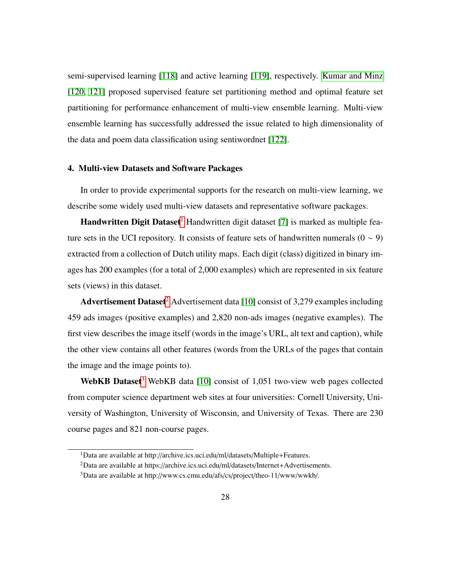semi-supervised learning [\[118\]](#page-48-3) and active learning [\[119\]](#page-48-4), respectively. [Kumar and Minz](#page-48-5) [\[120,](#page-48-5) [121\]](#page-48-6) proposed supervised feature set partitioning method and optimal feature set partitioning for performance enhancement of multi-view ensemble learning. Multi-view ensemble learning has successfully addressed the issue related to high dimensionality of the data and poem data classification using sentiwordnet [\[122\]](#page-48-7).

# <span id="page-27-0"></span>4. Multi-view Datasets and Software Packages

In order to provide experimental supports for the research on multi-view learning, we describe some widely used multi-view datasets and representative software packages.

**Handwritten Digit Dataset**<sup>[1](#page-0-0)</sup> Handwritten digit dataset [\[7\]](#page-35-5) is marked as multiple feature sets in the UCI repository. It consists of feature sets of handwritten numerals  $(0 \sim 9)$ extracted from a collection of Dutch utility maps. Each digit (class) digitized in binary images has 200 examples (for a total of 2,000 examples) which are represented in six feature sets (views) in this dataset.

Advertisement Dataset<sup>[2](#page-0-0)</sup> Advertisement data [\[10\]](#page-35-8) consist of 3,279 examples including 459 ads images (positive examples) and 2,820 non-ads images (negative examples). The first view describes the image itself (words in the image's URL, alt text and caption), while the other view contains all other features (words from the URLs of the pages that contain the image and the image points to).

WebKB Dataset<sup>[3](#page-0-0)</sup> WebKB data [\[10\]](#page-35-8) consist of 1,051 two-view web pages collected from computer science department web sites at four universities: Cornell University, University of Washington, University of Wisconsin, and University of Texas. There are 230 course pages and 821 non-course pages.

<sup>&</sup>lt;sup>1</sup>Data are available at http://archive.ics.uci.edu/ml/datasets/Multiple+Features.

<sup>2</sup>Data are available at https://archive.ics.uci.edu/ml/datasets/Internet+Advertisements.

<sup>3</sup>Data are available at http://www.cs.cmu.edu/afs/cs/project/theo-11/www/wwkb/.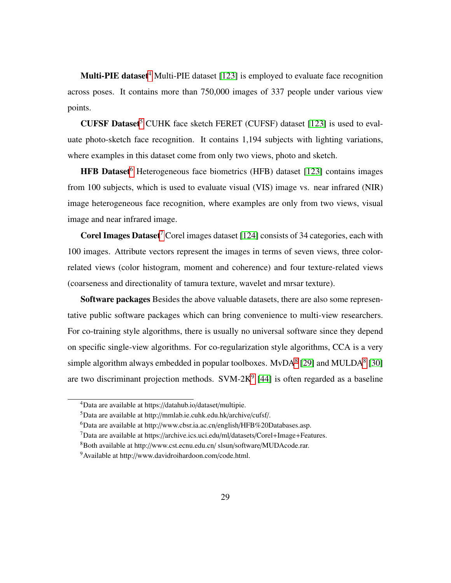Multi-PIE dataset<sup>[4](#page-0-0)</sup> Multi-PIE dataset [\[123\]](#page-49-0) is employed to evaluate face recognition across poses. It contains more than 750,000 images of 337 people under various view points.

**CUFSF Dataset**<sup>[5](#page-0-0)</sup> CUHK face sketch FERET (CUFSF) dataset [\[123\]](#page-49-0) is used to evaluate photo-sketch face recognition. It contains 1,194 subjects with lighting variations, where examples in this dataset come from only two views, photo and sketch.

HFB Dataset<sup>[6](#page-0-0)</sup> Heterogeneous face biometrics (HFB) dataset [\[123\]](#page-49-0) contains images from 100 subjects, which is used to evaluate visual (VIS) image vs. near infrared (NIR) image heterogeneous face recognition, where examples are only from two views, visual image and near infrared image.

**Corel Images Dataset**<sup>[7](#page-0-0)</sup> Corel images dataset [\[124\]](#page-49-1) consists of 34 categories, each with 100 images. Attribute vectors represent the images in terms of seven views, three colorrelated views (color histogram, moment and coherence) and four texture-related views (coarseness and directionality of tamura texture, wavelet and mrsar texture).

Software packages Besides the above valuable datasets, there are also some representative public software packages which can bring convenience to multi-view researchers. For co-training style algorithms, there is usually no universal software since they depend on specific single-view algorithms. For co-regularization style algorithms, CCA is a very simple algorithm always embedded in popular toolboxes.  $MvDA<sup>8</sup>$  $MvDA<sup>8</sup>$  $MvDA<sup>8</sup>$  [\[29\]](#page-38-1) and MULDA<sup>8</sup> [\[30\]](#page-38-2) are two discriminant projection methods. SVM-2 $K^9$  $K^9$  [\[44\]](#page-39-8) is often regarded as a baseline

<sup>4</sup>Data are available at https://datahub.io/dataset/multipie.

<sup>5</sup>Data are available at http://mmlab.ie.cuhk.edu.hk/archive/cufsf/.

<sup>6</sup>Data are available at http://www.cbsr.ia.ac.cn/english/HFB%20Databases.asp.

<sup>7</sup>Data are available at https://archive.ics.uci.edu/ml/datasets/Corel+Image+Features.

<sup>8</sup>Both available at http://www.cst.ecnu.edu.cn/ slsun/software/MUDAcode.rar.

<sup>9</sup>Available at http://www.davidroihardoon.com/code.html.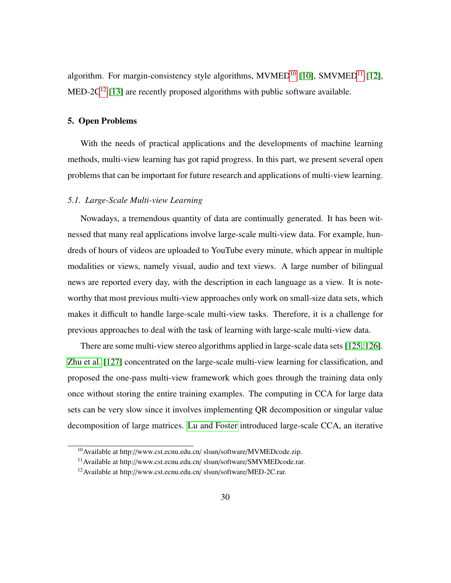algorithm. For margin-consistency style algorithms,  $MVMED^{10}$  $MVMED^{10}$  $MVMED^{10}$  [\[10\]](#page-35-8),  $SMVMED^{11}$  $SMVMED^{11}$  $SMVMED^{11}$  [\[12\]](#page-36-1), MED-2 $C^{12}$  $C^{12}$  $C^{12}$  [\[13\]](#page-36-2) are recently proposed algorithms with public software available.

# 5. Open Problems

With the needs of practical applications and the developments of machine learning methods, multi-view learning has got rapid progress. In this part, we present several open problems that can be important for future research and applications of multi-view learning.

## *5.1. Large-Scale Multi-view Learning*

Nowadays, a tremendous quantity of data are continually generated. It has been witnessed that many real applications involve large-scale multi-view data. For example, hundreds of hours of videos are uploaded to YouTube every minute, which appear in multiple modalities or views, namely visual, audio and text views. A large number of bilingual news are reported every day, with the description in each language as a view. It is noteworthy that most previous multi-view approaches only work on small-size data sets, which makes it difficult to handle large-scale multi-view tasks. Therefore, it is a challenge for previous approaches to deal with the task of learning with large-scale multi-view data.

There are some multi-view stereo algorithms applied in large-scale data sets [\[125,](#page-49-2) [126\]](#page-49-3). [Zhu et al.](#page-49-4) [\[127\]](#page-49-4) concentrated on the large-scale multi-view learning for classification, and proposed the one-pass multi-view framework which goes through the training data only once without storing the entire training examples. The computing in CCA for large data sets can be very slow since it involves implementing QR decomposition or singular value decomposition of large matrices. [Lu and Foster](#page-49-5) introduced large-scale CCA, an iterative

<sup>10</sup>Available at http://www.cst.ecnu.edu.cn/ slsun/software/MVMEDcode.zip.

<sup>11</sup>Available at http://www.cst.ecnu.edu.cn/ slsun/software/SMVMEDcode.rar.

<sup>12</sup>Available at http://www.cst.ecnu.edu.cn/ slsun/software/MED-2C.rar.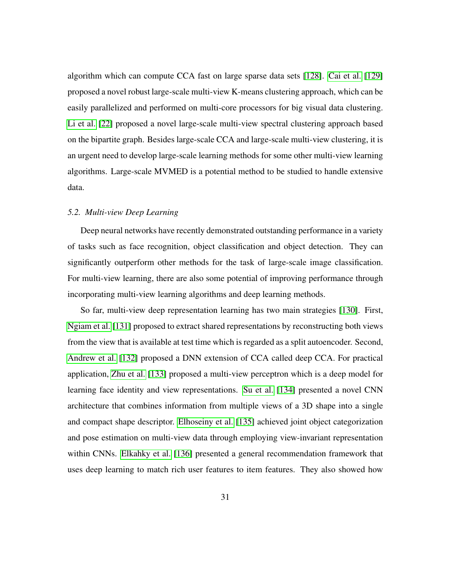algorithm which can compute CCA fast on large sparse data sets [\[128\]](#page-49-5). [Cai et al.](#page-49-6) [\[129\]](#page-49-6) proposed a novel robust large-scale multi-view K-means clustering approach, which can be easily parallelized and performed on multi-core processors for big visual data clustering. [Li et al.](#page-37-2) [\[22\]](#page-37-2) proposed a novel large-scale multi-view spectral clustering approach based on the bipartite graph. Besides large-scale CCA and large-scale multi-view clustering, it is an urgent need to develop large-scale learning methods for some other multi-view learning algorithms. Large-scale MVMED is a potential method to be studied to handle extensive data.

# *5.2. Multi-view Deep Learning*

Deep neural networks have recently demonstrated outstanding performance in a variety of tasks such as face recognition, object classification and object detection. They can significantly outperform other methods for the task of large-scale image classification. For multi-view learning, there are also some potential of improving performance through incorporating multi-view learning algorithms and deep learning methods.

So far, multi-view deep representation learning has two main strategies [\[130\]](#page-49-7). First, [Ngiam et al.](#page-49-8) [\[131\]](#page-49-8) proposed to extract shared representations by reconstructing both views from the view that is available at test time which is regarded as a split autoencoder. Second, [Andrew et al.](#page-50-0) [\[132\]](#page-50-0) proposed a DNN extension of CCA called deep CCA. For practical application, [Zhu et al.](#page-50-1) [\[133\]](#page-50-1) proposed a multi-view perceptron which is a deep model for learning face identity and view representations. [Su et al.](#page-50-2) [\[134\]](#page-50-2) presented a novel CNN architecture that combines information from multiple views of a 3D shape into a single and compact shape descriptor. [Elhoseiny et al.](#page-50-3) [\[135\]](#page-50-3) achieved joint object categorization and pose estimation on multi-view data through employing view-invariant representation within CNNs. [Elkahky et al.](#page-50-4) [\[136\]](#page-50-4) presented a general recommendation framework that uses deep learning to match rich user features to item features. They also showed how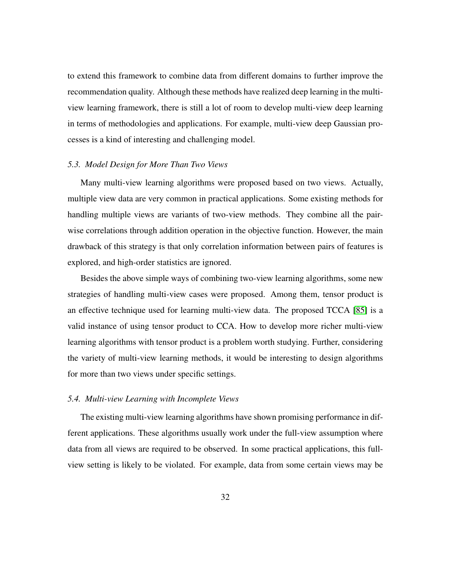to extend this framework to combine data from different domains to further improve the recommendation quality. Although these methods have realized deep learning in the multiview learning framework, there is still a lot of room to develop multi-view deep learning in terms of methodologies and applications. For example, multi-view deep Gaussian processes is a kind of interesting and challenging model.

#### *5.3. Model Design for More Than Two Views*

Many multi-view learning algorithms were proposed based on two views. Actually, multiple view data are very common in practical applications. Some existing methods for handling multiple views are variants of two-view methods. They combine all the pairwise correlations through addition operation in the objective function. However, the main drawback of this strategy is that only correlation information between pairs of features is explored, and high-order statistics are ignored.

Besides the above simple ways of combining two-view learning algorithms, some new strategies of handling multi-view cases were proposed. Among them, tensor product is an effective technique used for learning multi-view data. The proposed TCCA [\[85\]](#page-44-3) is a valid instance of using tensor product to CCA. How to develop more richer multi-view learning algorithms with tensor product is a problem worth studying. Further, considering the variety of multi-view learning methods, it would be interesting to design algorithms for more than two views under specific settings.

#### *5.4. Multi-view Learning with Incomplete Views*

The existing multi-view learning algorithms have shown promising performance in different applications. These algorithms usually work under the full-view assumption where data from all views are required to be observed. In some practical applications, this fullview setting is likely to be violated. For example, data from some certain views may be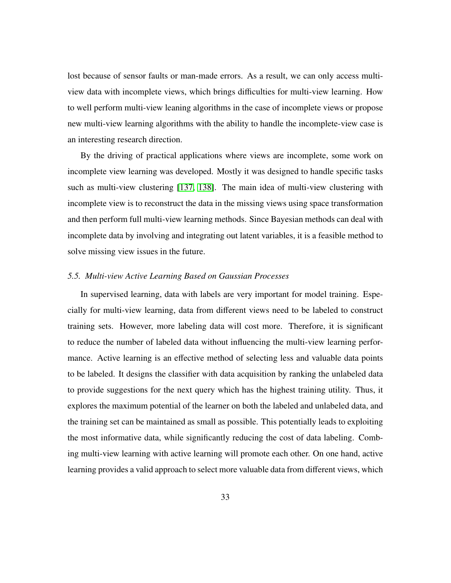lost because of sensor faults or man-made errors. As a result, we can only access multiview data with incomplete views, which brings difficulties for multi-view learning. How to well perform multi-view leaning algorithms in the case of incomplete views or propose new multi-view learning algorithms with the ability to handle the incomplete-view case is an interesting research direction.

By the driving of practical applications where views are incomplete, some work on incomplete view learning was developed. Mostly it was designed to handle specific tasks such as multi-view clustering [\[137,](#page-50-5) [138\]](#page-50-6). The main idea of multi-view clustering with incomplete view is to reconstruct the data in the missing views using space transformation and then perform full multi-view learning methods. Since Bayesian methods can deal with incomplete data by involving and integrating out latent variables, it is a feasible method to solve missing view issues in the future.

# *5.5. Multi-view Active Learning Based on Gaussian Processes*

In supervised learning, data with labels are very important for model training. Especially for multi-view learning, data from different views need to be labeled to construct training sets. However, more labeling data will cost more. Therefore, it is significant to reduce the number of labeled data without influencing the multi-view learning performance. Active learning is an effective method of selecting less and valuable data points to be labeled. It designs the classifier with data acquisition by ranking the unlabeled data to provide suggestions for the next query which has the highest training utility. Thus, it explores the maximum potential of the learner on both the labeled and unlabeled data, and the training set can be maintained as small as possible. This potentially leads to exploiting the most informative data, while significantly reducing the cost of data labeling. Combing multi-view learning with active learning will promote each other. On one hand, active learning provides a valid approach to select more valuable data from different views, which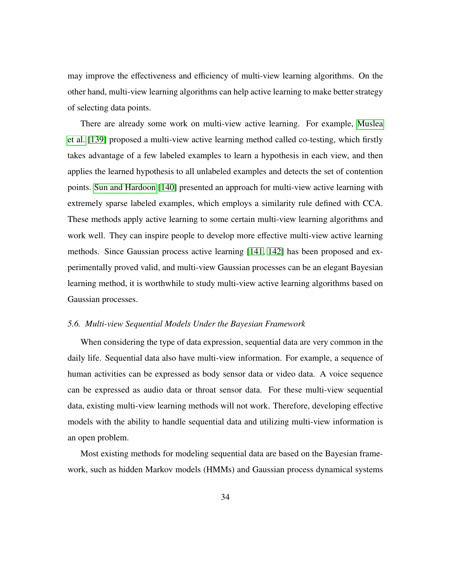may improve the effectiveness and efficiency of multi-view learning algorithms. On the other hand, multi-view learning algorithms can help active learning to make better strategy of selecting data points.

There are already some work on multi-view active learning. For example, [Muslea](#page-51-0) [et al.](#page-51-0) [\[139\]](#page-51-0) proposed a multi-view active learning method called co-testing, which firstly takes advantage of a few labeled examples to learn a hypothesis in each view, and then applies the learned hypothesis to all unlabeled examples and detects the set of contention points. [Sun and Hardoon](#page-51-1) [\[140\]](#page-51-1) presented an approach for multi-view active learning with extremely sparse labeled examples, which employs a similarity rule defined with CCA. These methods apply active learning to some certain multi-view learning algorithms and work well. They can inspire people to develop more effective multi-view active learning methods. Since Gaussian process active learning [\[141,](#page-51-2) [142\]](#page-51-3) has been proposed and experimentally proved valid, and multi-view Gaussian processes can be an elegant Bayesian learning method, it is worthwhile to study multi-view active learning algorithms based on Gaussian processes.

#### *5.6. Multi-view Sequential Models Under the Bayesian Framework*

When considering the type of data expression, sequential data are very common in the daily life. Sequential data also have multi-view information. For example, a sequence of human activities can be expressed as body sensor data or video data. A voice sequence can be expressed as audio data or throat sensor data. For these multi-view sequential data, existing multi-view learning methods will not work. Therefore, developing effective models with the ability to handle sequential data and utilizing multi-view information is an open problem.

Most existing methods for modeling sequential data are based on the Bayesian framework, such as hidden Markov models (HMMs) and Gaussian process dynamical systems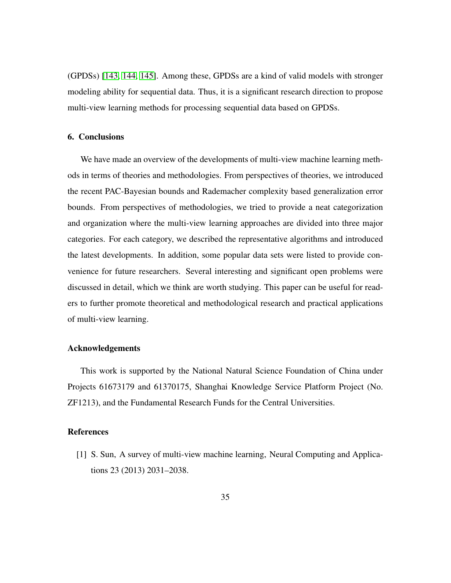(GPDSs) [\[143,](#page-51-4) [144,](#page-51-5) [145\]](#page-51-6). Among these, GPDSs are a kind of valid models with stronger modeling ability for sequential data. Thus, it is a significant research direction to propose multi-view learning methods for processing sequential data based on GPDSs.

## 6. Conclusions

We have made an overview of the developments of multi-view machine learning methods in terms of theories and methodologies. From perspectives of theories, we introduced the recent PAC-Bayesian bounds and Rademacher complexity based generalization error bounds. From perspectives of methodologies, we tried to provide a neat categorization and organization where the multi-view learning approaches are divided into three major categories. For each category, we described the representative algorithms and introduced the latest developments. In addition, some popular data sets were listed to provide convenience for future researchers. Several interesting and significant open problems were discussed in detail, which we think are worth studying. This paper can be useful for readers to further promote theoretical and methodological research and practical applications of multi-view learning.

# Acknowledgements

This work is supported by the National Natural Science Foundation of China under Projects 61673179 and 61370175, Shanghai Knowledge Service Platform Project (No. ZF1213), and the Fundamental Research Funds for the Central Universities.

#### References

<span id="page-34-0"></span>[1] S. Sun, A survey of multi-view machine learning, Neural Computing and Applications 23 (2013) 2031–2038.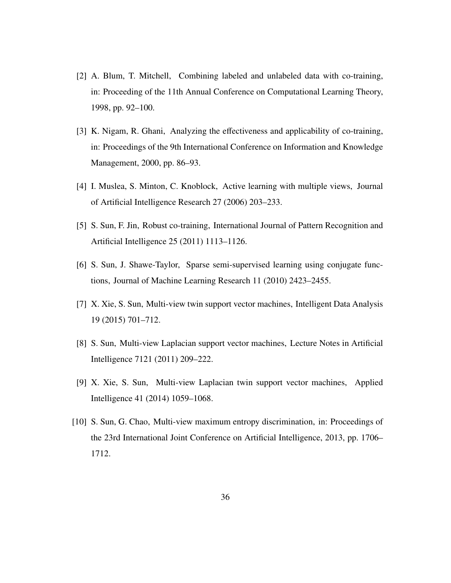- <span id="page-35-0"></span>[2] A. Blum, T. Mitchell, Combining labeled and unlabeled data with co-training, in: Proceeding of the 11th Annual Conference on Computational Learning Theory, 1998, pp. 92–100.
- <span id="page-35-1"></span>[3] K. Nigam, R. Ghani, Analyzing the effectiveness and applicability of co-training, in: Proceedings of the 9th International Conference on Information and Knowledge Management, 2000, pp. 86–93.
- <span id="page-35-2"></span>[4] I. Muslea, S. Minton, C. Knoblock, Active learning with multiple views, Journal of Artificial Intelligence Research 27 (2006) 203–233.
- <span id="page-35-3"></span>[5] S. Sun, F. Jin, Robust co-training, International Journal of Pattern Recognition and Artificial Intelligence 25 (2011) 1113–1126.
- <span id="page-35-4"></span>[6] S. Sun, J. Shawe-Taylor, Sparse semi-supervised learning using conjugate functions, Journal of Machine Learning Research 11 (2010) 2423–2455.
- <span id="page-35-5"></span>[7] X. Xie, S. Sun, Multi-view twin support vector machines, Intelligent Data Analysis 19 (2015) 701–712.
- <span id="page-35-6"></span>[8] S. Sun, Multi-view Laplacian support vector machines, Lecture Notes in Artificial Intelligence 7121 (2011) 209–222.
- <span id="page-35-7"></span>[9] X. Xie, S. Sun, Multi-view Laplacian twin support vector machines, Applied Intelligence 41 (2014) 1059–1068.
- <span id="page-35-8"></span>[10] S. Sun, G. Chao, Multi-view maximum entropy discrimination, in: Proceedings of the 23rd International Joint Conference on Artificial Intelligence, 2013, pp. 1706– 1712.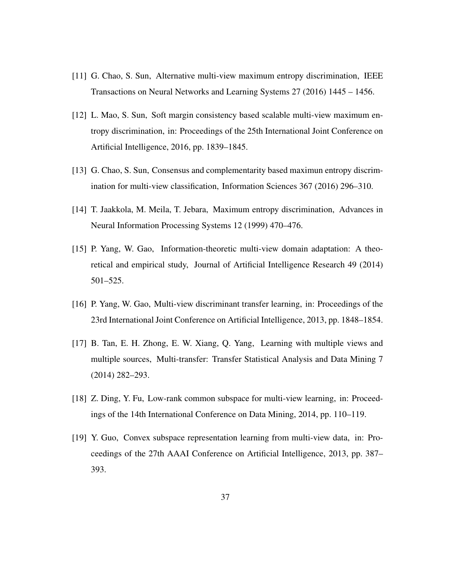- <span id="page-36-0"></span>[11] G. Chao, S. Sun, Alternative multi-view maximum entropy discrimination, IEEE Transactions on Neural Networks and Learning Systems 27 (2016) 1445 – 1456.
- <span id="page-36-1"></span>[12] L. Mao, S. Sun, Soft margin consistency based scalable multi-view maximum entropy discrimination, in: Proceedings of the 25th International Joint Conference on Artificial Intelligence, 2016, pp. 1839–1845.
- <span id="page-36-2"></span>[13] G. Chao, S. Sun, Consensus and complementarity based maximun entropy discrimination for multi-view classification, Information Sciences 367 (2016) 296–310.
- <span id="page-36-3"></span>[14] T. Jaakkola, M. Meila, T. Jebara, Maximum entropy discrimination, Advances in Neural Information Processing Systems 12 (1999) 470–476.
- <span id="page-36-4"></span>[15] P. Yang, W. Gao, Information-theoretic multi-view domain adaptation: A theoretical and empirical study, Journal of Artificial Intelligence Research 49 (2014) 501–525.
- <span id="page-36-5"></span>[16] P. Yang, W. Gao, Multi-view discriminant transfer learning, in: Proceedings of the 23rd International Joint Conference on Artificial Intelligence, 2013, pp. 1848–1854.
- <span id="page-36-6"></span>[17] B. Tan, E. H. Zhong, E. W. Xiang, Q. Yang, Learning with multiple views and multiple sources, Multi-transfer: Transfer Statistical Analysis and Data Mining 7 (2014) 282–293.
- <span id="page-36-7"></span>[18] Z. Ding, Y. Fu, Low-rank common subspace for multi-view learning, in: Proceedings of the 14th International Conference on Data Mining, 2014, pp. 110–119.
- <span id="page-36-8"></span>[19] Y. Guo, Convex subspace representation learning from multi-view data, in: Proceedings of the 27th AAAI Conference on Artificial Intelligence, 2013, pp. 387– 393.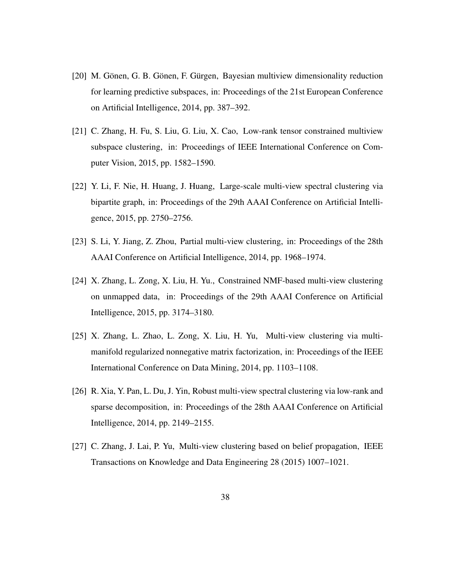- <span id="page-37-0"></span>[20] M. Gönen, G. B. Gönen, F. Gürgen, Bayesian multiview dimensionality reduction for learning predictive subspaces, in: Proceedings of the 21st European Conference on Artificial Intelligence, 2014, pp. 387–392.
- <span id="page-37-1"></span>[21] C. Zhang, H. Fu, S. Liu, G. Liu, X. Cao, Low-rank tensor constrained multiview subspace clustering, in: Proceedings of IEEE International Conference on Computer Vision, 2015, pp. 1582–1590.
- <span id="page-37-2"></span>[22] Y. Li, F. Nie, H. Huang, J. Huang, Large-scale multi-view spectral clustering via bipartite graph, in: Proceedings of the 29th AAAI Conference on Artificial Intelligence, 2015, pp. 2750–2756.
- <span id="page-37-3"></span>[23] S. Li, Y. Jiang, Z. Zhou, Partial multi-view clustering, in: Proceedings of the 28th AAAI Conference on Artificial Intelligence, 2014, pp. 1968–1974.
- <span id="page-37-4"></span>[24] X. Zhang, L. Zong, X. Liu, H. Yu., Constrained NMF-based multi-view clustering on unmapped data, in: Proceedings of the 29th AAAI Conference on Artificial Intelligence, 2015, pp. 3174–3180.
- <span id="page-37-5"></span>[25] X. Zhang, L. Zhao, L. Zong, X. Liu, H. Yu, Multi-view clustering via multimanifold regularized nonnegative matrix factorization, in: Proceedings of the IEEE International Conference on Data Mining, 2014, pp. 1103–1108.
- <span id="page-37-6"></span>[26] R. Xia, Y. Pan, L. Du, J. Yin, Robust multi-view spectral clustering via low-rank and sparse decomposition, in: Proceedings of the 28th AAAI Conference on Artificial Intelligence, 2014, pp. 2149–2155.
- <span id="page-37-7"></span>[27] C. Zhang, J. Lai, P. Yu, Multi-view clustering based on belief propagation, IEEE Transactions on Knowledge and Data Engineering 28 (2015) 1007–1021.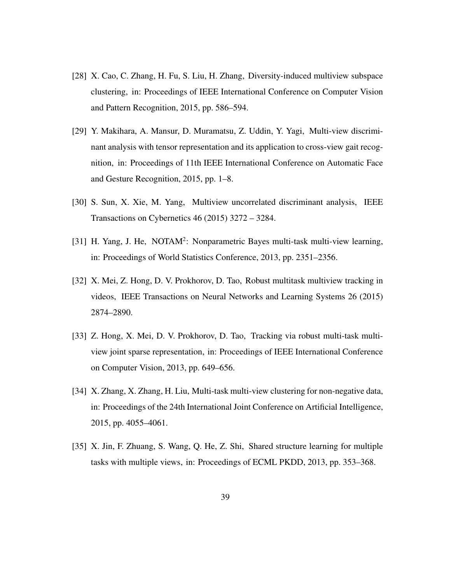- <span id="page-38-0"></span>[28] X. Cao, C. Zhang, H. Fu, S. Liu, H. Zhang, Diversity-induced multiview subspace clustering, in: Proceedings of IEEE International Conference on Computer Vision and Pattern Recognition, 2015, pp. 586–594.
- <span id="page-38-1"></span>[29] Y. Makihara, A. Mansur, D. Muramatsu, Z. Uddin, Y. Yagi, Multi-view discriminant analysis with tensor representation and its application to cross-view gait recognition, in: Proceedings of 11th IEEE International Conference on Automatic Face and Gesture Recognition, 2015, pp. 1–8.
- <span id="page-38-2"></span>[30] S. Sun, X. Xie, M. Yang, Multiview uncorrelated discriminant analysis, IEEE Transactions on Cybernetics 46 (2015) 3272 – 3284.
- <span id="page-38-3"></span>[31] H. Yang, J. He, NOTAM<sup>2</sup>: Nonparametric Bayes multi-task multi-view learning, in: Proceedings of World Statistics Conference, 2013, pp. 2351–2356.
- <span id="page-38-4"></span>[32] X. Mei, Z. Hong, D. V. Prokhorov, D. Tao, Robust multitask multiview tracking in videos, IEEE Transactions on Neural Networks and Learning Systems 26 (2015) 2874–2890.
- <span id="page-38-5"></span>[33] Z. Hong, X. Mei, D. V. Prokhorov, D. Tao, Tracking via robust multi-task multiview joint sparse representation, in: Proceedings of IEEE International Conference on Computer Vision, 2013, pp. 649–656.
- <span id="page-38-6"></span>[34] X. Zhang, X. Zhang, H. Liu, Multi-task multi-view clustering for non-negative data, in: Proceedings of the 24th International Joint Conference on Artificial Intelligence, 2015, pp. 4055–4061.
- <span id="page-38-7"></span>[35] X. Jin, F. Zhuang, S. Wang, Q. He, Z. Shi, Shared structure learning for multiple tasks with multiple views, in: Proceedings of ECML PKDD, 2013, pp. 353–368.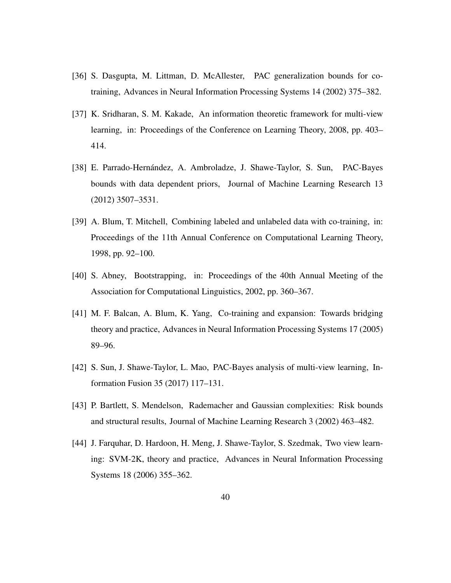- <span id="page-39-0"></span>[36] S. Dasgupta, M. Littman, D. McAllester, PAC generalization bounds for cotraining, Advances in Neural Information Processing Systems 14 (2002) 375–382.
- <span id="page-39-1"></span>[37] K. Sridharan, S. M. Kakade, An information theoretic framework for multi-view learning, in: Proceedings of the Conference on Learning Theory, 2008, pp. 403– 414.
- <span id="page-39-2"></span>[38] E. Parrado-Hernández, A. Ambroladze, J. Shawe-Taylor, S. Sun, PAC-Bayes bounds with data dependent priors, Journal of Machine Learning Research 13 (2012) 3507–3531.
- <span id="page-39-3"></span>[39] A. Blum, T. Mitchell, Combining labeled and unlabeled data with co-training, in: Proceedings of the 11th Annual Conference on Computational Learning Theory, 1998, pp. 92–100.
- <span id="page-39-4"></span>[40] S. Abney, Bootstrapping, in: Proceedings of the 40th Annual Meeting of the Association for Computational Linguistics, 2002, pp. 360–367.
- <span id="page-39-5"></span>[41] M. F. Balcan, A. Blum, K. Yang, Co-training and expansion: Towards bridging theory and practice, Advances in Neural Information Processing Systems 17 (2005) 89–96.
- <span id="page-39-6"></span>[42] S. Sun, J. Shawe-Taylor, L. Mao, PAC-Bayes analysis of multi-view learning, Information Fusion 35 (2017) 117–131.
- <span id="page-39-7"></span>[43] P. Bartlett, S. Mendelson, Rademacher and Gaussian complexities: Risk bounds and structural results, Journal of Machine Learning Research 3 (2002) 463–482.
- <span id="page-39-8"></span>[44] J. Farquhar, D. Hardoon, H. Meng, J. Shawe-Taylor, S. Szedmak, Two view learning: SVM-2K, theory and practice, Advances in Neural Information Processing Systems 18 (2006) 355–362.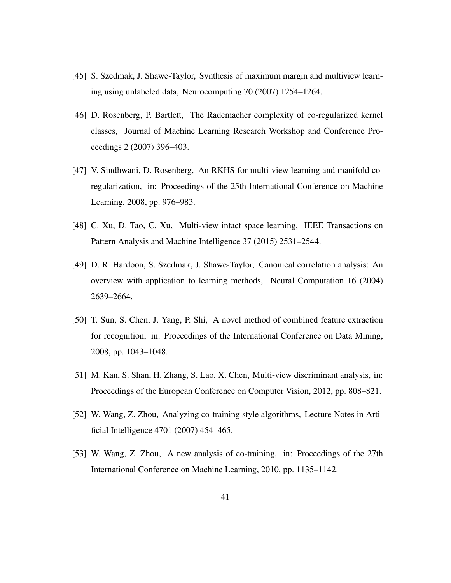- <span id="page-40-0"></span>[45] S. Szedmak, J. Shawe-Taylor, Synthesis of maximum margin and multiview learning using unlabeled data, Neurocomputing 70 (2007) 1254–1264.
- <span id="page-40-1"></span>[46] D. Rosenberg, P. Bartlett, The Rademacher complexity of co-regularized kernel classes, Journal of Machine Learning Research Workshop and Conference Proceedings 2 (2007) 396–403.
- <span id="page-40-2"></span>[47] V. Sindhwani, D. Rosenberg, An RKHS for multi-view learning and manifold coregularization, in: Proceedings of the 25th International Conference on Machine Learning, 2008, pp. 976–983.
- <span id="page-40-3"></span>[48] C. Xu, D. Tao, C. Xu, Multi-view intact space learning, IEEE Transactions on Pattern Analysis and Machine Intelligence 37 (2015) 2531–2544.
- <span id="page-40-4"></span>[49] D. R. Hardoon, S. Szedmak, J. Shawe-Taylor, Canonical correlation analysis: An overview with application to learning methods, Neural Computation 16 (2004) 2639–2664.
- <span id="page-40-5"></span>[50] T. Sun, S. Chen, J. Yang, P. Shi, A novel method of combined feature extraction for recognition, in: Proceedings of the International Conference on Data Mining, 2008, pp. 1043–1048.
- <span id="page-40-6"></span>[51] M. Kan, S. Shan, H. Zhang, S. Lao, X. Chen, Multi-view discriminant analysis, in: Proceedings of the European Conference on Computer Vision, 2012, pp. 808–821.
- <span id="page-40-7"></span>[52] W. Wang, Z. Zhou, Analyzing co-training style algorithms, Lecture Notes in Artificial Intelligence 4701 (2007) 454–465.
- <span id="page-40-8"></span>[53] W. Wang, Z. Zhou, A new analysis of co-training, in: Proceedings of the 27th International Conference on Machine Learning, 2010, pp. 1135–1142.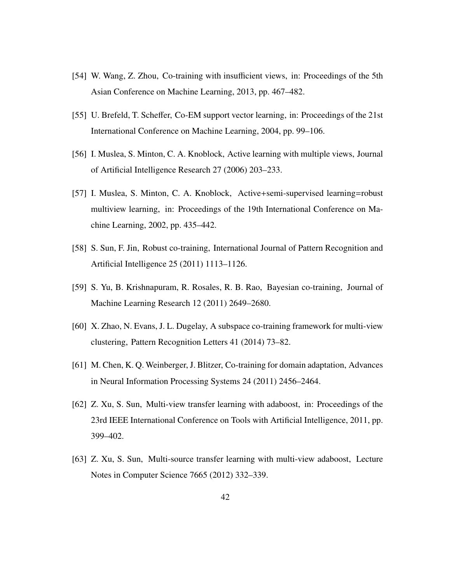- <span id="page-41-0"></span>[54] W. Wang, Z. Zhou, Co-training with insufficient views, in: Proceedings of the 5th Asian Conference on Machine Learning, 2013, pp. 467–482.
- <span id="page-41-1"></span>[55] U. Brefeld, T. Scheffer, Co-EM support vector learning, in: Proceedings of the 21st International Conference on Machine Learning, 2004, pp. 99–106.
- <span id="page-41-2"></span>[56] I. Muslea, S. Minton, C. A. Knoblock, Active learning with multiple views, Journal of Artificial Intelligence Research 27 (2006) 203–233.
- <span id="page-41-3"></span>[57] I. Muslea, S. Minton, C. A. Knoblock, Active+semi-supervised learning=robust multiview learning, in: Proceedings of the 19th International Conference on Machine Learning, 2002, pp. 435–442.
- <span id="page-41-4"></span>[58] S. Sun, F. Jin, Robust co-training, International Journal of Pattern Recognition and Artificial Intelligence 25 (2011) 1113–1126.
- <span id="page-41-5"></span>[59] S. Yu, B. Krishnapuram, R. Rosales, R. B. Rao, Bayesian co-training, Journal of Machine Learning Research 12 (2011) 2649–2680.
- <span id="page-41-6"></span>[60] X. Zhao, N. Evans, J. L. Dugelay, A subspace co-training framework for multi-view clustering, Pattern Recognition Letters 41 (2014) 73–82.
- <span id="page-41-7"></span>[61] M. Chen, K. Q. Weinberger, J. Blitzer, Co-training for domain adaptation, Advances in Neural Information Processing Systems 24 (2011) 2456–2464.
- <span id="page-41-8"></span>[62] Z. Xu, S. Sun, Multi-view transfer learning with adaboost, in: Proceedings of the 23rd IEEE International Conference on Tools with Artificial Intelligence, 2011, pp. 399–402.
- <span id="page-41-9"></span>[63] Z. Xu, S. Sun, Multi-source transfer learning with multi-view adaboost, Lecture Notes in Computer Science 7665 (2012) 332–339.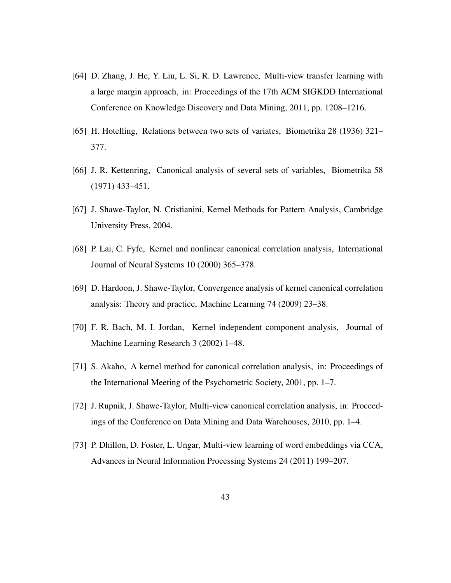- <span id="page-42-0"></span>[64] D. Zhang, J. He, Y. Liu, L. Si, R. D. Lawrence, Multi-view transfer learning with a large margin approach, in: Proceedings of the 17th ACM SIGKDD International Conference on Knowledge Discovery and Data Mining, 2011, pp. 1208–1216.
- <span id="page-42-1"></span>[65] H. Hotelling, Relations between two sets of variates, Biometrika 28 (1936) 321– 377.
- <span id="page-42-2"></span>[66] J. R. Kettenring, Canonical analysis of several sets of variables, Biometrika 58 (1971) 433–451.
- <span id="page-42-3"></span>[67] J. Shawe-Taylor, N. Cristianini, Kernel Methods for Pattern Analysis, Cambridge University Press, 2004.
- <span id="page-42-4"></span>[68] P. Lai, C. Fyfe, Kernel and nonlinear canonical correlation analysis, International Journal of Neural Systems 10 (2000) 365–378.
- <span id="page-42-5"></span>[69] D. Hardoon, J. Shawe-Taylor, Convergence analysis of kernel canonical correlation analysis: Theory and practice, Machine Learning 74 (2009) 23–38.
- <span id="page-42-6"></span>[70] F. R. Bach, M. I. Jordan, Kernel independent component analysis, Journal of Machine Learning Research 3 (2002) 1–48.
- <span id="page-42-7"></span>[71] S. Akaho, A kernel method for canonical correlation analysis, in: Proceedings of the International Meeting of the Psychometric Society, 2001, pp. 1–7.
- <span id="page-42-8"></span>[72] J. Rupnik, J. Shawe-Taylor, Multi-view canonical correlation analysis, in: Proceedings of the Conference on Data Mining and Data Warehouses, 2010, pp. 1–4.
- <span id="page-42-9"></span>[73] P. Dhillon, D. Foster, L. Ungar, Multi-view learning of word embeddings via CCA, Advances in Neural Information Processing Systems 24 (2011) 199–207.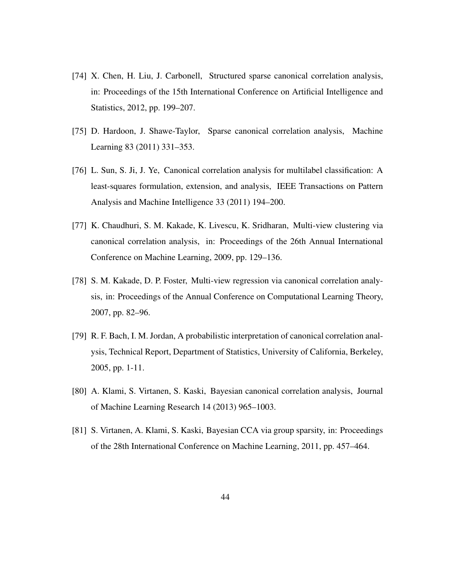- <span id="page-43-0"></span>[74] X. Chen, H. Liu, J. Carbonell, Structured sparse canonical correlation analysis, in: Proceedings of the 15th International Conference on Artificial Intelligence and Statistics, 2012, pp. 199–207.
- <span id="page-43-1"></span>[75] D. Hardoon, J. Shawe-Taylor, Sparse canonical correlation analysis, Machine Learning 83 (2011) 331–353.
- <span id="page-43-2"></span>[76] L. Sun, S. Ji, J. Ye, Canonical correlation analysis for multilabel classification: A least-squares formulation, extension, and analysis, IEEE Transactions on Pattern Analysis and Machine Intelligence 33 (2011) 194–200.
- <span id="page-43-3"></span>[77] K. Chaudhuri, S. M. Kakade, K. Livescu, K. Sridharan, Multi-view clustering via canonical correlation analysis, in: Proceedings of the 26th Annual International Conference on Machine Learning, 2009, pp. 129–136.
- <span id="page-43-4"></span>[78] S. M. Kakade, D. P. Foster, Multi-view regression via canonical correlation analysis, in: Proceedings of the Annual Conference on Computational Learning Theory, 2007, pp. 82–96.
- <span id="page-43-5"></span>[79] R. F. Bach, I. M. Jordan, A probabilistic interpretation of canonical correlation analysis, Technical Report, Department of Statistics, University of California, Berkeley, 2005, pp. 1-11.
- <span id="page-43-6"></span>[80] A. Klami, S. Virtanen, S. Kaski, Bayesian canonical correlation analysis, Journal of Machine Learning Research 14 (2013) 965–1003.
- <span id="page-43-7"></span>[81] S. Virtanen, A. Klami, S. Kaski, Bayesian CCA via group sparsity, in: Proceedings of the 28th International Conference on Machine Learning, 2011, pp. 457–464.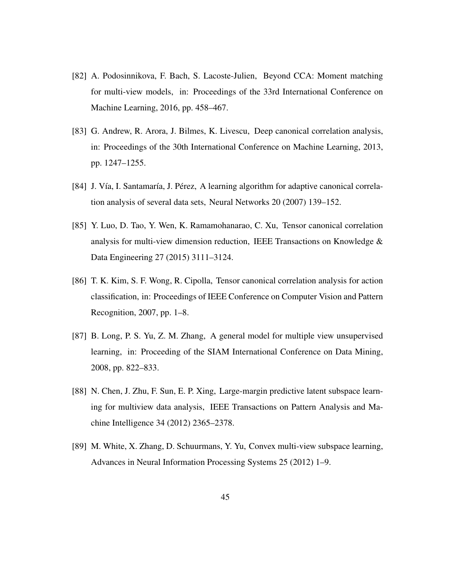- <span id="page-44-0"></span>[82] A. Podosinnikova, F. Bach, S. Lacoste-Julien, Beyond CCA: Moment matching for multi-view models, in: Proceedings of the 33rd International Conference on Machine Learning, 2016, pp. 458–467.
- <span id="page-44-1"></span>[83] G. Andrew, R. Arora, J. Bilmes, K. Livescu, Deep canonical correlation analysis, in: Proceedings of the 30th International Conference on Machine Learning, 2013, pp. 1247–1255.
- <span id="page-44-2"></span>[84] J. Vía, I. Santamaría, J. Pérez, A learning algorithm for adaptive canonical correlation analysis of several data sets, Neural Networks 20 (2007) 139–152.
- <span id="page-44-3"></span>[85] Y. Luo, D. Tao, Y. Wen, K. Ramamohanarao, C. Xu, Tensor canonical correlation analysis for multi-view dimension reduction, IEEE Transactions on Knowledge & Data Engineering 27 (2015) 3111–3124.
- <span id="page-44-4"></span>[86] T. K. Kim, S. F. Wong, R. Cipolla, Tensor canonical correlation analysis for action classification, in: Proceedings of IEEE Conference on Computer Vision and Pattern Recognition, 2007, pp. 1–8.
- <span id="page-44-5"></span>[87] B. Long, P. S. Yu, Z. M. Zhang, A general model for multiple view unsupervised learning, in: Proceeding of the SIAM International Conference on Data Mining, 2008, pp. 822–833.
- <span id="page-44-6"></span>[88] N. Chen, J. Zhu, F. Sun, E. P. Xing, Large-margin predictive latent subspace learning for multiview data analysis, IEEE Transactions on Pattern Analysis and Machine Intelligence 34 (2012) 2365–2378.
- <span id="page-44-7"></span>[89] M. White, X. Zhang, D. Schuurmans, Y. Yu, Convex multi-view subspace learning, Advances in Neural Information Processing Systems 25 (2012) 1–9.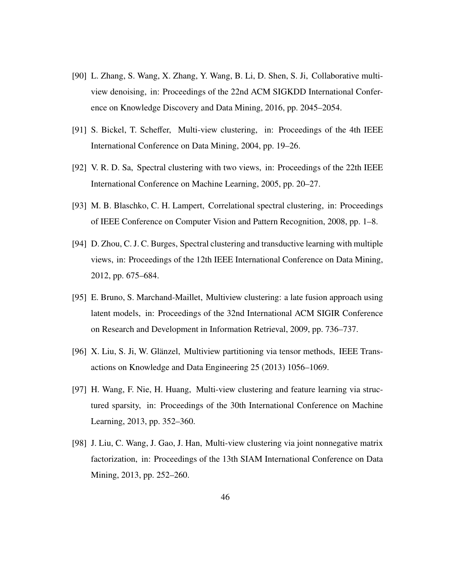- <span id="page-45-0"></span>[90] L. Zhang, S. Wang, X. Zhang, Y. Wang, B. Li, D. Shen, S. Ji, Collaborative multiview denoising, in: Proceedings of the 22nd ACM SIGKDD International Conference on Knowledge Discovery and Data Mining, 2016, pp. 2045–2054.
- <span id="page-45-1"></span>[91] S. Bickel, T. Scheffer, Multi-view clustering, in: Proceedings of the 4th IEEE International Conference on Data Mining, 2004, pp. 19–26.
- <span id="page-45-2"></span>[92] V. R. D. Sa, Spectral clustering with two views, in: Proceedings of the 22th IEEE International Conference on Machine Learning, 2005, pp. 20–27.
- <span id="page-45-3"></span>[93] M. B. Blaschko, C. H. Lampert, Correlational spectral clustering, in: Proceedings of IEEE Conference on Computer Vision and Pattern Recognition, 2008, pp. 1–8.
- <span id="page-45-4"></span>[94] D. Zhou, C. J. C. Burges, Spectral clustering and transductive learning with multiple views, in: Proceedings of the 12th IEEE International Conference on Data Mining, 2012, pp. 675–684.
- <span id="page-45-5"></span>[95] E. Bruno, S. Marchand-Maillet, Multiview clustering: a late fusion approach using latent models, in: Proceedings of the 32nd International ACM SIGIR Conference on Research and Development in Information Retrieval, 2009, pp. 736–737.
- <span id="page-45-6"></span>[96] X. Liu, S. Ji, W. Glänzel, Multiview partitioning via tensor methods, IEEE Transactions on Knowledge and Data Engineering 25 (2013) 1056–1069.
- <span id="page-45-7"></span>[97] H. Wang, F. Nie, H. Huang, Multi-view clustering and feature learning via structured sparsity, in: Proceedings of the 30th International Conference on Machine Learning, 2013, pp. 352–360.
- <span id="page-45-8"></span>[98] J. Liu, C. Wang, J. Gao, J. Han, Multi-view clustering via joint nonnegative matrix factorization, in: Proceedings of the 13th SIAM International Conference on Data Mining, 2013, pp. 252–260.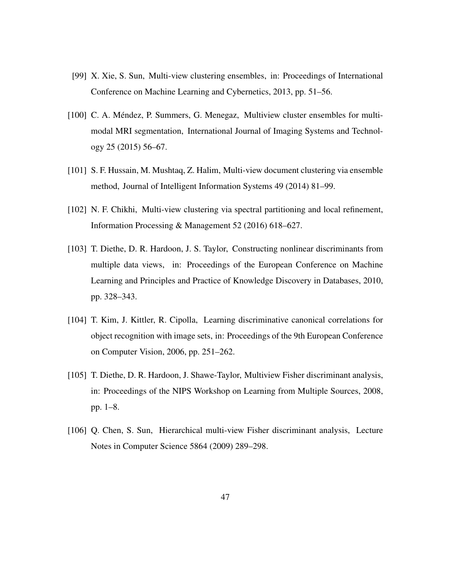- <span id="page-46-0"></span>[99] X. Xie, S. Sun, Multi-view clustering ensembles, in: Proceedings of International Conference on Machine Learning and Cybernetics, 2013, pp. 51–56.
- <span id="page-46-1"></span>[100] C. A. Méndez, P. Summers, G. Menegaz, Multiview cluster ensembles for multimodal MRI segmentation, International Journal of Imaging Systems and Technology 25 (2015) 56–67.
- <span id="page-46-2"></span>[101] S. F. Hussain, M. Mushtaq, Z. Halim, Multi-view document clustering via ensemble method, Journal of Intelligent Information Systems 49 (2014) 81–99.
- <span id="page-46-3"></span>[102] N. F. Chikhi, Multi-view clustering via spectral partitioning and local refinement, Information Processing & Management 52 (2016) 618–627.
- <span id="page-46-4"></span>[103] T. Diethe, D. R. Hardoon, J. S. Taylor, Constructing nonlinear discriminants from multiple data views, in: Proceedings of the European Conference on Machine Learning and Principles and Practice of Knowledge Discovery in Databases, 2010, pp. 328–343.
- <span id="page-46-5"></span>[104] T. Kim, J. Kittler, R. Cipolla, Learning discriminative canonical correlations for object recognition with image sets, in: Proceedings of the 9th European Conference on Computer Vision, 2006, pp. 251–262.
- <span id="page-46-6"></span>[105] T. Diethe, D. R. Hardoon, J. Shawe-Taylor, Multiview Fisher discriminant analysis, in: Proceedings of the NIPS Workshop on Learning from Multiple Sources, 2008, pp. 1–8.
- <span id="page-46-7"></span>[106] Q. Chen, S. Sun, Hierarchical multi-view Fisher discriminant analysis, Lecture Notes in Computer Science 5864 (2009) 289–298.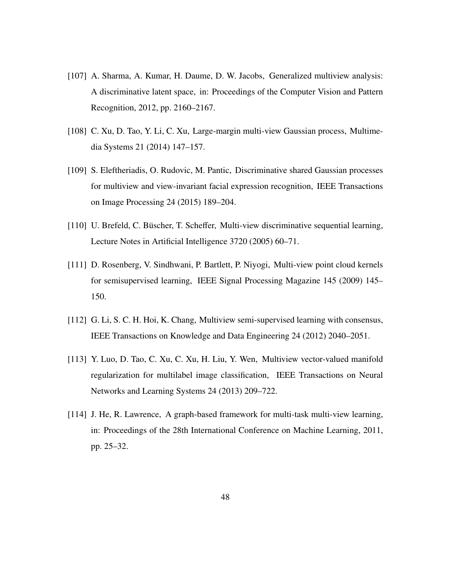- <span id="page-47-0"></span>[107] A. Sharma, A. Kumar, H. Daume, D. W. Jacobs, Generalized multiview analysis: A discriminative latent space, in: Proceedings of the Computer Vision and Pattern Recognition, 2012, pp. 2160–2167.
- <span id="page-47-1"></span>[108] C. Xu, D. Tao, Y. Li, C. Xu, Large-margin multi-view Gaussian process, Multimedia Systems 21 (2014) 147–157.
- <span id="page-47-2"></span>[109] S. Eleftheriadis, O. Rudovic, M. Pantic, Discriminative shared Gaussian processes for multiview and view-invariant facial expression recognition, IEEE Transactions on Image Processing 24 (2015) 189–204.
- <span id="page-47-3"></span>[110] U. Brefeld, C. Büscher, T. Scheffer, Multi-view discriminative sequential learning, Lecture Notes in Artificial Intelligence 3720 (2005) 60–71.
- <span id="page-47-4"></span>[111] D. Rosenberg, V. Sindhwani, P. Bartlett, P. Niyogi, Multi-view point cloud kernels for semisupervised learning, IEEE Signal Processing Magazine 145 (2009) 145– 150.
- <span id="page-47-5"></span>[112] G. Li, S. C. H. Hoi, K. Chang, Multiview semi-supervised learning with consensus, IEEE Transactions on Knowledge and Data Engineering 24 (2012) 2040–2051.
- <span id="page-47-6"></span>[113] Y. Luo, D. Tao, C. Xu, C. Xu, H. Liu, Y. Wen, Multiview vector-valued manifold regularization for multilabel image classification, IEEE Transactions on Neural Networks and Learning Systems 24 (2013) 209–722.
- <span id="page-47-7"></span>[114] J. He, R. Lawrence, A graph-based framework for multi-task multi-view learning, in: Proceedings of the 28th International Conference on Machine Learning, 2011, pp. 25–32.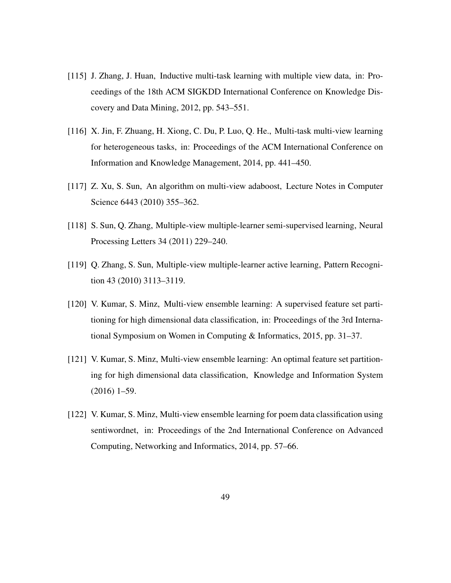- <span id="page-48-0"></span>[115] J. Zhang, J. Huan, Inductive multi-task learning with multiple view data, in: Proceedings of the 18th ACM SIGKDD International Conference on Knowledge Discovery and Data Mining, 2012, pp. 543–551.
- <span id="page-48-1"></span>[116] X. Jin, F. Zhuang, H. Xiong, C. Du, P. Luo, Q. He., Multi-task multi-view learning for heterogeneous tasks, in: Proceedings of the ACM International Conference on Information and Knowledge Management, 2014, pp. 441–450.
- <span id="page-48-2"></span>[117] Z. Xu, S. Sun, An algorithm on multi-view adaboost, Lecture Notes in Computer Science 6443 (2010) 355–362.
- <span id="page-48-3"></span>[118] S. Sun, Q. Zhang, Multiple-view multiple-learner semi-supervised learning, Neural Processing Letters 34 (2011) 229–240.
- <span id="page-48-4"></span>[119] Q. Zhang, S. Sun, Multiple-view multiple-learner active learning, Pattern Recognition 43 (2010) 3113–3119.
- <span id="page-48-5"></span>[120] V. Kumar, S. Minz, Multi-view ensemble learning: A supervised feature set partitioning for high dimensional data classification, in: Proceedings of the 3rd International Symposium on Women in Computing & Informatics, 2015, pp. 31–37.
- <span id="page-48-6"></span>[121] V. Kumar, S. Minz, Multi-view ensemble learning: An optimal feature set partitioning for high dimensional data classification, Knowledge and Information System (2016) 1–59.
- <span id="page-48-7"></span>[122] V. Kumar, S. Minz, Multi-view ensemble learning for poem data classification using sentiwordnet, in: Proceedings of the 2nd International Conference on Advanced Computing, Networking and Informatics, 2014, pp. 57–66.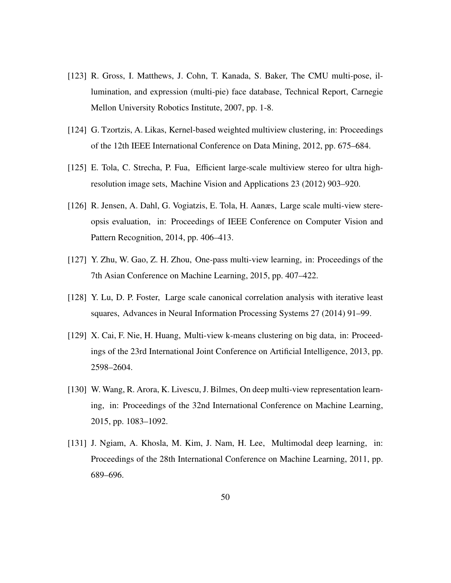- <span id="page-49-0"></span>[123] R. Gross, I. Matthews, J. Cohn, T. Kanada, S. Baker, The CMU multi-pose, illumination, and expression (multi-pie) face database, Technical Report, Carnegie Mellon University Robotics Institute, 2007, pp. 1-8.
- <span id="page-49-1"></span>[124] G. Tzortzis, A. Likas, Kernel-based weighted multiview clustering, in: Proceedings of the 12th IEEE International Conference on Data Mining, 2012, pp. 675–684.
- <span id="page-49-2"></span>[125] E. Tola, C. Strecha, P. Fua, Efficient large-scale multiview stereo for ultra highresolution image sets, Machine Vision and Applications 23 (2012) 903–920.
- <span id="page-49-3"></span>[126] R. Jensen, A. Dahl, G. Vogiatzis, E. Tola, H. Aanæs, Large scale multi-view stereopsis evaluation, in: Proceedings of IEEE Conference on Computer Vision and Pattern Recognition, 2014, pp. 406–413.
- <span id="page-49-4"></span>[127] Y. Zhu, W. Gao, Z. H. Zhou, One-pass multi-view learning, in: Proceedings of the 7th Asian Conference on Machine Learning, 2015, pp. 407–422.
- <span id="page-49-5"></span>[128] Y. Lu, D. P. Foster, Large scale canonical correlation analysis with iterative least squares, Advances in Neural Information Processing Systems 27 (2014) 91–99.
- <span id="page-49-6"></span>[129] X. Cai, F. Nie, H. Huang, Multi-view k-means clustering on big data, in: Proceedings of the 23rd International Joint Conference on Artificial Intelligence, 2013, pp. 2598–2604.
- <span id="page-49-7"></span>[130] W. Wang, R. Arora, K. Livescu, J. Bilmes, On deep multi-view representation learning, in: Proceedings of the 32nd International Conference on Machine Learning, 2015, pp. 1083–1092.
- <span id="page-49-8"></span>[131] J. Ngiam, A. Khosla, M. Kim, J. Nam, H. Lee, Multimodal deep learning, in: Proceedings of the 28th International Conference on Machine Learning, 2011, pp. 689–696.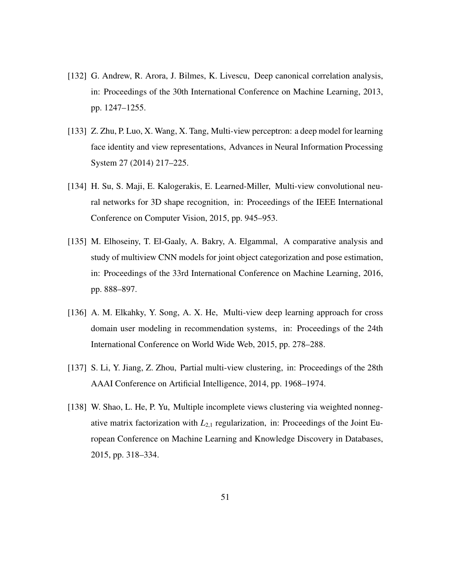- <span id="page-50-0"></span>[132] G. Andrew, R. Arora, J. Bilmes, K. Livescu, Deep canonical correlation analysis, in: Proceedings of the 30th International Conference on Machine Learning, 2013, pp. 1247–1255.
- <span id="page-50-1"></span>[133] Z. Zhu, P. Luo, X. Wang, X. Tang, Multi-view perceptron: a deep model for learning face identity and view representations, Advances in Neural Information Processing System 27 (2014) 217–225.
- <span id="page-50-2"></span>[134] H. Su, S. Maji, E. Kalogerakis, E. Learned-Miller, Multi-view convolutional neural networks for 3D shape recognition, in: Proceedings of the IEEE International Conference on Computer Vision, 2015, pp. 945–953.
- <span id="page-50-3"></span>[135] M. Elhoseiny, T. El-Gaaly, A. Bakry, A. Elgammal, A comparative analysis and study of multiview CNN models for joint object categorization and pose estimation, in: Proceedings of the 33rd International Conference on Machine Learning, 2016, pp. 888–897.
- <span id="page-50-4"></span>[136] A. M. Elkahky, Y. Song, A. X. He, Multi-view deep learning approach for cross domain user modeling in recommendation systems, in: Proceedings of the 24th International Conference on World Wide Web, 2015, pp. 278–288.
- <span id="page-50-5"></span>[137] S. Li, Y. Jiang, Z. Zhou, Partial multi-view clustering, in: Proceedings of the 28th AAAI Conference on Artificial Intelligence, 2014, pp. 1968–1974.
- <span id="page-50-6"></span>[138] W. Shao, L. He, P. Yu, Multiple incomplete views clustering via weighted nonnegative matrix factorization with  $L_{2,1}$  regularization, in: Proceedings of the Joint European Conference on Machine Learning and Knowledge Discovery in Databases, 2015, pp. 318–334.